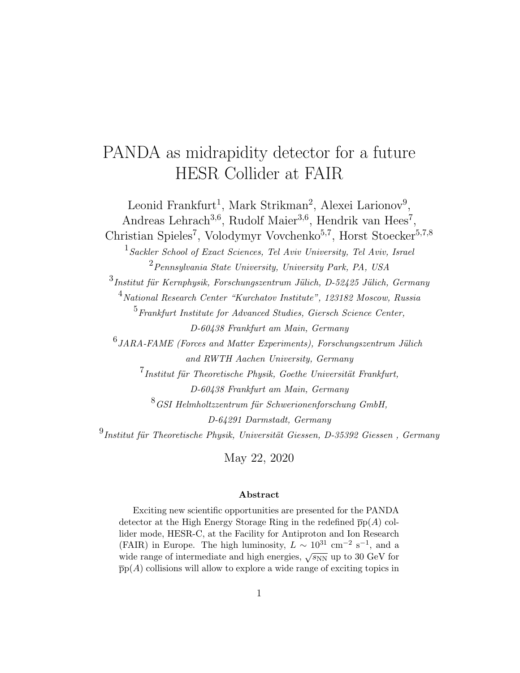# PANDA as midrapidity detector for a future HESR Collider at FAIR

Leonid Frankfurt<sup>1</sup>, Mark Strikman<sup>2</sup>, Alexei Larionov<sup>9</sup>, Andreas Lehrach<sup>3,6</sup>, Rudolf Maier<sup>3,6</sup>, Hendrik van Hees<sup>7</sup>, Christian Spieles<sup>7</sup>, Volodymyr Vovchenko<sup>5,7</sup>, Horst Stoecker<sup>5,7,8</sup> 1 Sackler School of Exact Sciences, Tel Aviv University, Tel Aviv, Israel  $^{2}$ Pennsylvania State University, University Park, PA, USA  $^3$ Institut für Kernphysik, Forschungszentrum Jülich, D-52425 Jülich, Germany <sup>4</sup>National Research Center "Kurchatov Institute", 123182 Moscow, Russia <sup>5</sup>Frankfurt Institute for Advanced Studies, Giersch Science Center, D-60438 Frankfurt am Main, Germany  $^6$ JARA-FAME (Forces and Matter Experiments), Forschungszentrum Jülich and RWTH Aachen University, Germany  $7$ Institut für Theoretische Physik, Goethe Universität Frankfurt, D-60438 Frankfurt am Main, Germany  $8$ GSI Helmholtzzentrum für Schwerionenforschung GmbH, D-64291 Darmstadt, Germany  $^{9}$ Institut für Theoretische Physik, Universität Giessen, D-35392 Giessen, Germany

May 22, 2020

#### Abstract

Exciting new scientific opportunities are presented for the PANDA detector at the High Energy Storage Ring in the redefined  $\bar{p}p(A)$  collider mode, HESR-C, at the Facility for Antiproton and Ion Research (FAIR) in Europe. The high luminosity,  $L \sim 10^{31}$  cm<sup>-2</sup> s<sup>-1</sup>, and a wide range of intermediate and high energies,  $\sqrt{s_{NN}}$  up to 30 GeV for  $\bar{p}_p(A)$  collisions will allow to explore a wide range of exciting topics in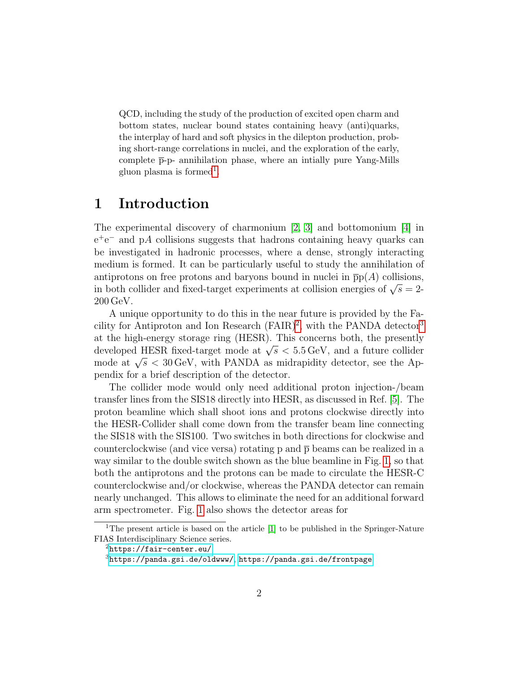QCD, including the study of the production of excited open charm and bottom states, nuclear bound states containing heavy (anti)quarks, the interplay of hard and soft physics in the dilepton production, probing short-range correlations in nuclei, and the exploration of the early, complete  $\bar{p}$ -p- annihilation phase, where an intially pure Yang-Mills gluon plasma is formed<sup>[1](#page-1-0)</sup>.

### 1 Introduction

The experimental discovery of charmonium [\[2,](#page-31-0) [3\]](#page-31-1) and bottomonium [\[4\]](#page-31-2) in e<sup>+</sup>e<sup>−</sup> and pA collisions suggests that hadrons containing heavy quarks can be investigated in hadronic processes, where a dense, strongly interacting medium is formed. It can be particularly useful to study the annihilation of antiprotons on free protons and baryons bound in nuclei in  $\overline{p}p(A)$  collisions, in both collider and fixed-target experiments at collision energies of  $\sqrt{s} = 2$ -200 GeV.

A unique opportunity to do this in the near future is provided by the Facility for Antiproton and Ion Research  $(FAIR)^2$  $(FAIR)^2$ , with the PANDA detector<sup>[3](#page-1-2)</sup> at the high-energy storage ring (HESR). This concerns both, the presently developed HESR fixed-target mode at  $\sqrt{s}$  < 5.5 GeV, and a future collider mode at  $\sqrt{s}$  < 30 GeV, with PANDA as midrapidity detector, see the Appendix for a brief description of the detector.

The collider mode would only need additional proton injection-/beam transfer lines from the SIS18 directly into HESR, as discussed in Ref. [\[5\]](#page-31-3). The proton beamline which shall shoot ions and protons clockwise directly into the HESR-Collider shall come down from the transfer beam line connecting the SIS18 with the SIS100. Two switches in both directions for clockwise and counterclockwise (and vice versa) rotating p and  $\bar{p}$  beams can be realized in a way similar to the double switch shown as the blue beamline in Fig. [1,](#page-2-0) so that both the antiprotons and the protons can be made to circulate the HESR-C counterclockwise and/or clockwise, whereas the PANDA detector can remain nearly unchanged. This allows to eliminate the need for an additional forward arm spectrometer. Fig. [1](#page-2-0) also shows the detector areas for

<span id="page-1-0"></span><sup>&</sup>lt;sup>1</sup>The present article is based on the article [\[1\]](#page-31-4) to be published in the Springer-Nature FIAS Interdisciplinary Science series.

<span id="page-1-1"></span> $^{2}$ <https://fair-center.eu/>

<span id="page-1-2"></span> ${}^{3}$ <https://panda.gsi.de/oldwww/>,<https://panda.gsi.de/frontpage>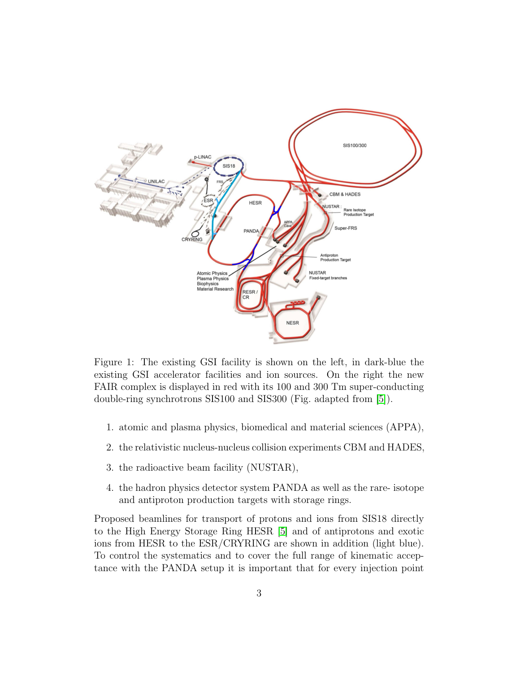

<span id="page-2-0"></span>Figure 1: The existing GSI facility is shown on the left, in dark-blue the existing GSI accelerator facilities and ion sources. On the right the new FAIR complex is displayed in red with its 100 and 300 Tm super-conducting double-ring synchrotrons SIS100 and SIS300 (Fig. adapted from [\[5\]](#page-31-3)).

- 1. atomic and plasma physics, biomedical and material sciences (APPA),
- 2. the relativistic nucleus-nucleus collision experiments CBM and HADES,
- 3. the radioactive beam facility (NUSTAR),
- 4. the hadron physics detector system PANDA as well as the rare- isotope and antiproton production targets with storage rings.

Proposed beamlines for transport of protons and ions from SIS18 directly to the High Energy Storage Ring HESR [\[5\]](#page-31-3) and of antiprotons and exotic ions from HESR to the ESR/CRYRING are shown in addition (light blue). To control the systematics and to cover the full range of kinematic acceptance with the PANDA setup it is important that for every injection point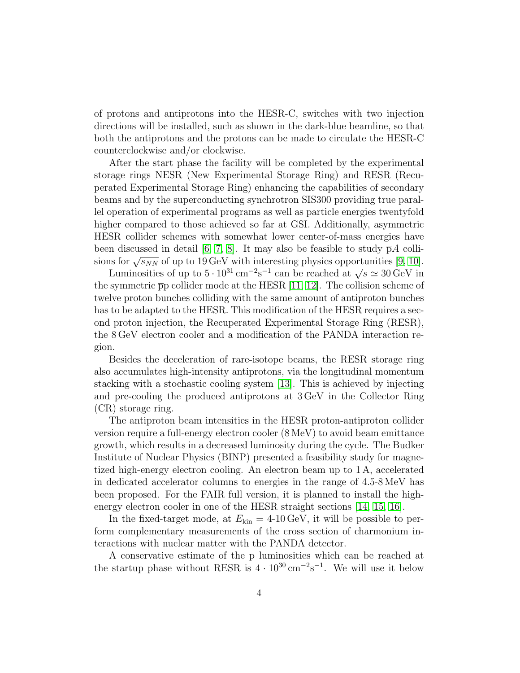of protons and antiprotons into the HESR-C, switches with two injection directions will be installed, such as shown in the dark-blue beamline, so that both the antiprotons and the protons can be made to circulate the HESR-C counterclockwise and/or clockwise.

After the start phase the facility will be completed by the experimental storage rings NESR (New Experimental Storage Ring) and RESR (Recuperated Experimental Storage Ring) enhancing the capabilities of secondary beams and by the superconducting synchrotron SIS300 providing true parallel operation of experimental programs as well as particle energies twentyfold higher compared to those achieved so far at GSI. Additionally, asymmetric HESR collider schemes with somewhat lower center-of-mass energies have been discussed in detail [\[6,](#page-31-5) [7,](#page-31-6) [8\]](#page-31-7). It may also be feasible to study  $\bar{p}A$  collisions for  $\sqrt{s_{NN}}$  of up to 19 GeV with interesting physics opportunities [\[9,](#page-32-0) [10\]](#page-32-1).

Luminosities of up to  $5 \cdot 10^{31}$  cm<sup>-2</sup>s<sup>-1</sup> can be reached at  $\sqrt{s} \simeq 30$  GeV in the symmetric  $\bar{p}p$  collider mode at the HESR [\[11,](#page-32-2) [12\]](#page-32-3). The collision scheme of twelve proton bunches colliding with the same amount of antiproton bunches has to be adapted to the HESR. This modification of the HESR requires a second proton injection, the Recuperated Experimental Storage Ring (RESR), the 8 GeV electron cooler and a modification of the PANDA interaction region.

Besides the deceleration of rare-isotope beams, the RESR storage ring also accumulates high-intensity antiprotons, via the longitudinal momentum stacking with a stochastic cooling system [\[13\]](#page-32-4). This is achieved by injecting and pre-cooling the produced antiprotons at 3 GeV in the Collector Ring (CR) storage ring.

The antiproton beam intensities in the HESR proton-antiproton collider version require a full-energy electron cooler (8 MeV) to avoid beam emittance growth, which results in a decreased luminosity during the cycle. The Budker Institute of Nuclear Physics (BINP) presented a feasibility study for magnetized high-energy electron cooling. An electron beam up to 1 A, accelerated in dedicated accelerator columns to energies in the range of 4.5-8 MeV has been proposed. For the FAIR full version, it is planned to install the highenergy electron cooler in one of the HESR straight sections [\[14,](#page-32-5) [15,](#page-32-6) [16\]](#page-32-7).

In the fixed-target mode, at  $E_{kin} = 4{\text -}10 \,\text{GeV}$ , it will be possible to perform complementary measurements of the cross section of charmonium interactions with nuclear matter with the PANDA detector.

A conservative estimate of the  $\bar{p}$  luminosities which can be reached at the startup phase without RESR is  $4 \cdot 10^{30} \text{ cm}^{-2} \text{s}^{-1}$ . We will use it below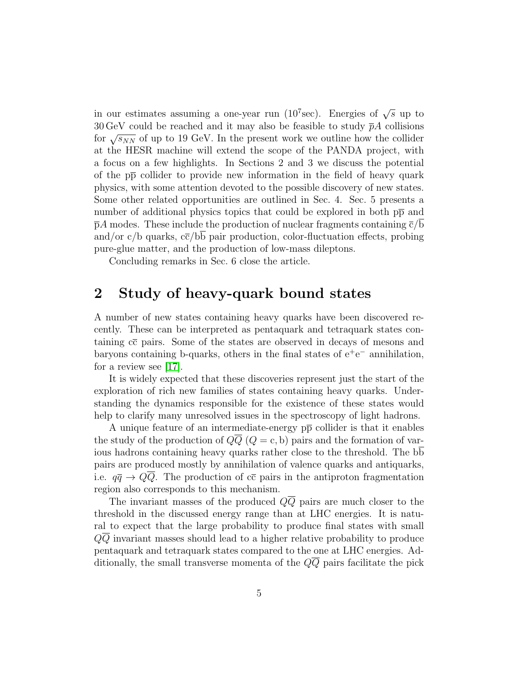in our estimates assuming a one-year run (10<sup>7</sup>sec). Energies of  $\sqrt{s}$  up to 30 GeV could be reached and it may also be feasible to study  $\bar{p}A$  collisions for  $\sqrt{s_{NN}}$  of up to 19 GeV. In the present work we outline how the collider at the HESR machine will extend the scope of the PANDA project, with a focus on a few highlights. In Sections 2 and 3 we discuss the potential of the  $p\bar{p}$  collider to provide new information in the field of heavy quark physics, with some attention devoted to the possible discovery of new states. Some other related opportunities are outlined in Sec. 4. Sec. 5 presents a number of additional physics topics that could be explored in both  $p\bar{p}$  and  $\bar{p}A$  modes. These include the production of nuclear fragments containing  $\bar{c}/b$ and/or  $c/b$  quarks,  $c\bar{c}/bb$  pair production, color-fluctuation effects, probing pure-glue matter, and the production of low-mass dileptons.

Concluding remarks in Sec. 6 close the article.

### 2 Study of heavy-quark bound states

A number of new states containing heavy quarks have been discovered recently. These can be interpreted as pentaquark and tetraquark states containing  $c\bar{c}$  pairs. Some of the states are observed in decays of mesons and baryons containing b-quarks, others in the final states of  $e^+e^-$  annihilation, for a review see  $|17|$ .

It is widely expected that these discoveries represent just the start of the exploration of rich new families of states containing heavy quarks. Understanding the dynamics responsible for the existence of these states would help to clarify many unresolved issues in the spectroscopy of light hadrons.

A unique feature of an intermediate-energy  $p\bar{p}$  collider is that it enables the study of the production of  $Q\overline{Q}$  ( $Q = c$ , b) pairs and the formation of various hadrons containing heavy quarks rather close to the threshold. The bb pairs are produced mostly by annihilation of valence quarks and antiquarks, i.e.  $q\bar{q} \rightarrow Q\bar{Q}$ . The production of  $c\bar{c}$  pairs in the antiproton fragmentation region also corresponds to this mechanism.

The invariant masses of the produced  $Q\overline{Q}$  pairs are much closer to the threshold in the discussed energy range than at LHC energies. It is natural to expect that the large probability to produce final states with small QQ invariant masses should lead to a higher relative probability to produce pentaquark and tetraquark states compared to the one at LHC energies. Additionally, the small transverse momenta of the  $Q\overline{Q}$  pairs facilitate the pick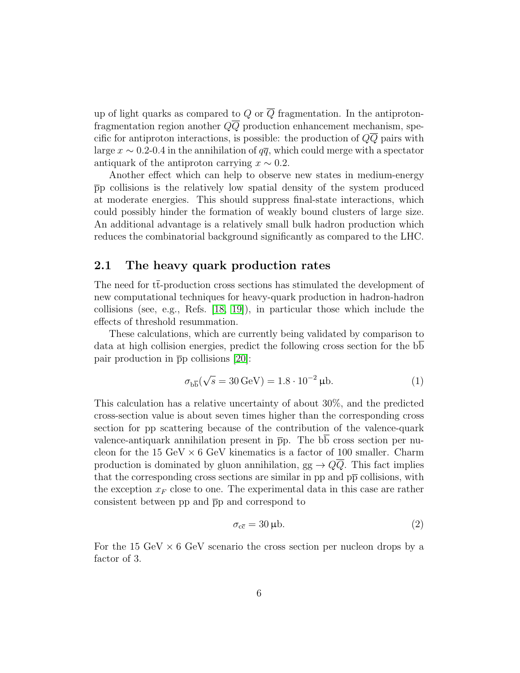up of light quarks as compared to Q or  $\overline{Q}$  fragmentation. In the antiprotonfragmentation region another  $Q\overline{Q}$  production enhancement mechanism, specific for antiproton interactions, is possible: the production of  $Q\overline{Q}$  pairs with large  $x \sim 0.2$ -0.4 in the annihilation of  $q\bar{q}$ , which could merge with a spectator antiquark of the antiproton carrying  $x \sim 0.2$ .

Another effect which can help to observe new states in medium-energy pp collisions is the relatively low spatial density of the system produced at moderate energies. This should suppress final-state interactions, which could possibly hinder the formation of weakly bound clusters of large size. An additional advantage is a relatively small bulk hadron production which reduces the combinatorial background significantly as compared to the LHC.

#### 2.1 The heavy quark production rates

The need for tt-production cross sections has stimulated the development of new computational techniques for heavy-quark production in hadron-hadron collisions (see, e.g., Refs. [\[18,](#page-33-1) [19\]](#page-33-2)), in particular those which include the effects of threshold resummation.

These calculations, which are currently being validated by comparison to data at high collision energies, predict the following cross section for the bb pair production in  $\bar{p}p$  collisions [\[20\]](#page-33-3):

<span id="page-5-0"></span>
$$
\sigma_{b\overline{b}}(\sqrt{s} = 30 \,\text{GeV}) = 1.8 \cdot 10^{-2} \,\mu\text{b.} \tag{1}
$$

This calculation has a relative uncertainty of about 30%, and the predicted cross-section value is about seven times higher than the corresponding cross section for pp scattering because of the contribution of the valence-quark valence-antiquark annihilation present in  $\bar{p}p$ . The  $b\bar{b}$  cross section per nucleon for the 15 GeV  $\times$  6 GeV kinematics is a factor of 100 smaller. Charm production is dominated by gluon annihilation,  $gg \to Q\overline{Q}$ . This fact implies that the corresponding cross sections are similar in pp and  $p\bar{p}$  collisions, with the exception  $x_F$  close to one. The experimental data in this case are rather consistent between pp and  $\bar{p}p$  and correspond to

<span id="page-5-1"></span>
$$
\sigma_{\rm c\bar{c}} = 30 \,\mu b. \tag{2}
$$

For the 15 GeV  $\times$  6 GeV scenario the cross section per nucleon drops by a factor of 3.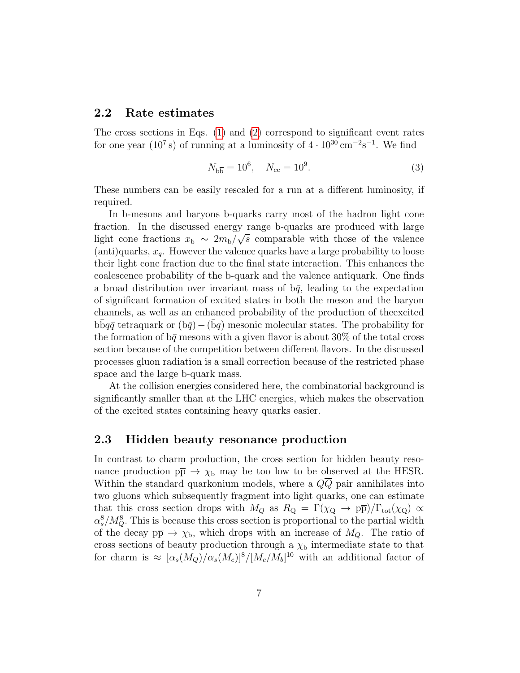#### 2.2 Rate estimates

The cross sections in Eqs. [\(1\)](#page-5-0) and [\(2\)](#page-5-1) correspond to significant event rates for one year ( $10^7$  s) of running at a luminosity of  $4 \cdot 10^{30}$  cm<sup>-2</sup>s<sup>-1</sup>. We find

$$
N_{\text{b}\overline{\text{b}}} = 10^6, \quad N_{\text{c}\overline{\text{c}}} = 10^9. \tag{3}
$$

These numbers can be easily rescaled for a run at a different luminosity, if required.

In b-mesons and baryons b-quarks carry most of the hadron light cone fraction. In the discussed energy range b-quarks are produced with large light cone fractions  $x_{\rm b} \sim 2m_{\rm b}/\sqrt{s}$  comparable with those of the valence (anti)quarks,  $x_q$ . However the valence quarks have a large probability to loose their light cone fraction due to the final state interaction. This enhances the coalescence probability of the b-quark and the valence antiquark. One finds a broad distribution over invariant mass of  $b\bar{q}$ , leading to the expectation of significant formation of excited states in both the meson and the baryon channels, as well as an enhanced probability of the production of theexcited bb $q\bar{q}$  tetraquark or  $(b\bar{q})-(bq)$  mesonic molecular states. The probability for the formation of  $\bar{b}\bar{q}$  mesons with a given flavor is about 30% of the total cross section because of the competition between different flavors. In the discussed processes gluon radiation is a small correction because of the restricted phase space and the large b-quark mass.

At the collision energies considered here, the combinatorial background is significantly smaller than at the LHC energies, which makes the observation of the excited states containing heavy quarks easier.

#### 2.3 Hidden beauty resonance production

In contrast to charm production, the cross section for hidden beauty resonance production  $p\bar{p} \to \chi_b$  may be too low to be observed at the HESR. Within the standard quarkonium models, where a  $Q\overline{Q}$  pair annihilates into two gluons which subsequently fragment into light quarks, one can estimate that this cross section drops with  $M_Q$  as  $R_Q = \Gamma(\chi_Q \to p\overline{p})/\Gamma_{tot}(\chi_Q) \propto$  $\alpha_s^8/M_Q^8$ . This is because this cross section is proportional to the partial width of the decay  $p\bar{p} \to \chi_{b}$ , which drops with an increase of  $M_Q$ . The ratio of cross sections of beauty production through a  $\chi_{\rm b}$  intermediate state to that for charm is  $\approx \left[ \alpha_s(M_Q)/\alpha_s(M_c) \right]^8/[M_c/M_b]^{10}$  with an additional factor of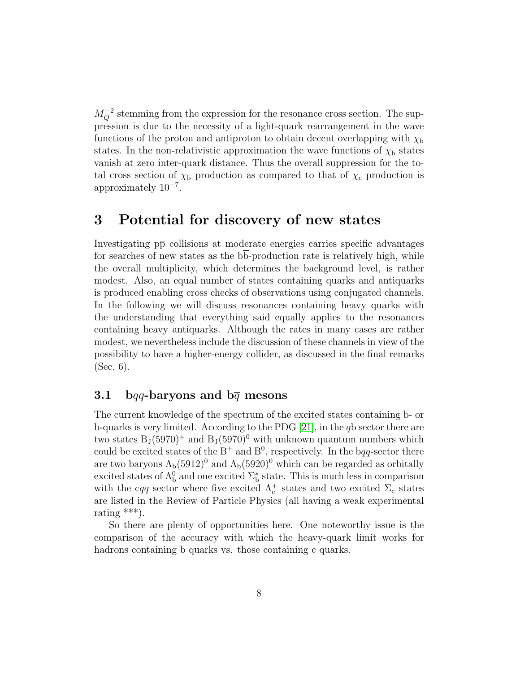$M_Q^{-2}$  stemming from the expression for the resonance cross section. The suppression is due to the necessity of a light-quark rearrangement in the wave functions of the proton and antiproton to obtain decent overlapping with  $\chi_{\rm b}$ states. In the non-relativistic approximation the wave functions of  $\chi_{\rm b}$  states vanish at zero inter-quark distance. Thus the overall suppression for the total cross section of  $\chi_{\rm b}$  production as compared to that of  $\chi_{\rm c}$  production is approximately 10<sup>−</sup><sup>7</sup> .

## 3 Potential for discovery of new states

Investigating  $p\bar{p}$  collisions at moderate energies carries specific advantages for searches of new states as the bb-production rate is relatively high, while the overall multiplicity, which determines the background level, is rather modest. Also, an equal number of states containing quarks and antiquarks is produced enabling cross checks of observations using conjugated channels. In the following we will discuss resonances containing heavy quarks with the understanding that everything said equally applies to the resonances containing heavy antiquarks. Although the rates in many cases are rather modest, we nevertheless include the discussion of these channels in view of the possibility to have a higher-energy collider, as discussed in the final remarks (Sec. 6).

#### 3.1 bqq-baryons and  $b\bar{q}$  mesons

The current knowledge of the spectrum of the excited states containing b- or  $\overline{b}$ -quarks is very limited. According to the PDG [\[21\]](#page-33-4), in the  $q\overline{b}$  sector there are two states  $B_J(5970)^+$  and  $B_J(5970)^0$  with unknown quantum numbers which could be excited states of the  $B^+$  and  $B^0$ , respectively. In the bqq-sector there are two baryons  $\Lambda_b(5912)^0$  and  $\Lambda_b(5920)^0$  which can be regarded as orbitally excited states of  $\Lambda_b^0$  and one excited  $\Sigma_b^*$  state. This is much less in comparison with the cqq sector where five excited  $\Lambda_c^+$  states and two excited  $\Sigma_c$  states are listed in the Review of Particle Physics (all having a weak experimental rating  $***$ ).

So there are plenty of opportunities here. One noteworthy issue is the comparison of the accuracy with which the heavy-quark limit works for hadrons containing b quarks vs. those containing c quarks.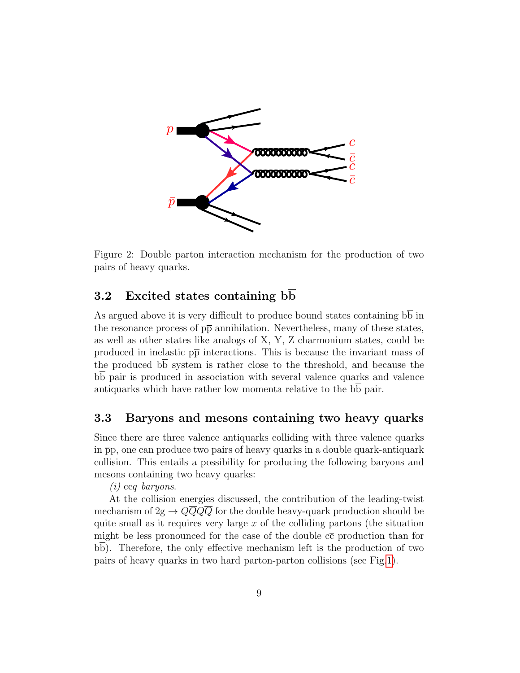

<span id="page-8-0"></span>Figure 2: Double parton interaction mechanism for the production of two pairs of heavy quarks.

### 3.2 Excited states containing  $b\overline{b}$

As argued above it is very difficult to produce bound states containing bb in the resonance process of  $p\bar{p}$  annihilation. Nevertheless, many of these states, as well as other states like analogs of X, Y, Z charmonium states, could be produced in inelastic  $p\bar{p}$  interactions. This is because the invariant mass of the produced  $b\overline{b}$  system is rather close to the threshold, and because the bb pair is produced in association with several valence quarks and valence antiquarks which have rather low momenta relative to the bb pair.

#### 3.3 Baryons and mesons containing two heavy quarks

Since there are three valence antiquarks colliding with three valence quarks in  $\overline{p}p$ , one can produce two pairs of heavy quarks in a double quark-antiquark collision. This entails a possibility for producing the following baryons and mesons containing two heavy quarks:

(i) ccq baryons.

At the collision energies discussed, the contribution of the leading-twist mechanism of  $2g \rightarrow Q\overline{Q}Q\overline{Q}$  for the double heavy-quark production should be quite small as it requires very large  $x$  of the colliding partons (the situation might be less pronounced for the case of the double  $c\bar{c}$  production than for bb). Therefore, the only effective mechanism left is the production of two pairs of heavy quarks in two hard parton-parton collisions (see Fig[.1\)](#page-2-0).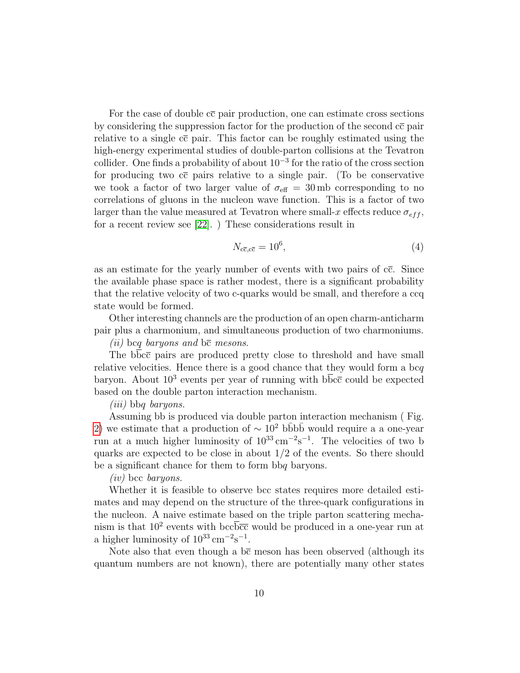For the case of double  $c\bar{c}$  pair production, one can estimate cross sections by considering the suppression factor for the production of the second  $c\bar{c}$  pair relative to a single  $c\bar{c}$  pair. This factor can be roughly estimated using the high-energy experimental studies of double-parton collisions at the Tevatron collider. One finds a probability of about 10<sup>−</sup><sup>3</sup> for the ratio of the cross section for producing two  $c\bar{c}$  pairs relative to a single pair. (To be conservative we took a factor of two larger value of  $\sigma_{\text{eff}} = 30 \,\text{mb}$  corresponding to no correlations of gluons in the nucleon wave function. This is a factor of two larger than the value measured at Tevatron where small-x effects reduce  $\sigma_{eff}$ , for a recent review see [\[22\]](#page-33-5). ) These considerations result in

$$
N_{\rm c\bar{c},\rm c\bar{c}} = 10^6,\tag{4}
$$

as an estimate for the yearly number of events with two pairs of  $c\bar{c}$ . Since the available phase space is rather modest, there is a significant probability that the relative velocity of two c-quarks would be small, and therefore a ccq state would be formed.

Other interesting channels are the production of an open charm-anticharm pair plus a charmonium, and simultaneous production of two charmoniums.

(*ii*) bcq baryons and  $b\bar{c}$  mesons.

The bbcc pairs are produced pretty close to threshold and have small relative velocities. Hence there is a good chance that they would form a bcq baryon. About  $10^3$  events per year of running with  $b\overline{b}c\overline{c}$  could be expected based on the double parton interaction mechanism.

(iii) bbq baryons.

Assuming bb is produced via double parton interaction mechanism ( Fig. [2\)](#page-8-0) we estimate that a production of  $\sim 10^2$  bbbb would require a a one-year run at a much higher luminosity of  $10^{33} \text{ cm}^{-2}\text{s}^{-1}$ . The velocities of two b quarks are expected to be close in about 1/2 of the events. So there should be a significant chance for them to form bbq baryons.

(iv) bcc baryons.

Whether it is feasible to observe bcc states requires more detailed estimates and may depend on the structure of the three-quark configurations in the nucleon. A naive estimate based on the triple parton scattering mechanism is that  $10^2$  events with bcc $\overline{bcc}$  would be produced in a one-year run at a higher luminosity of  $10^{33} \text{ cm}^{-2} \text{s}^{-1}$ .

Note also that even though a  $b\bar{c}$  meson has been observed (although its quantum numbers are not known), there are potentially many other states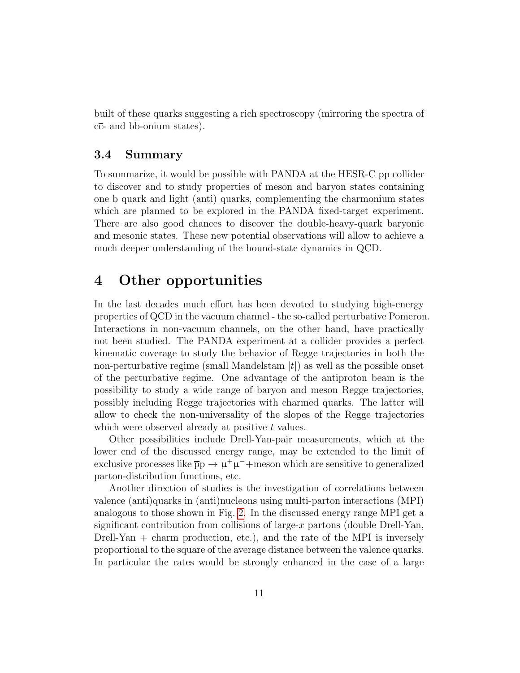built of these quarks suggesting a rich spectroscopy (mirroring the spectra of  $c\bar{c}$ - and bb-onium states).

#### 3.4 Summary

To summarize, it would be possible with PANDA at the HESR-C  $\bar{p}p$  collider to discover and to study properties of meson and baryon states containing one b quark and light (anti) quarks, complementing the charmonium states which are planned to be explored in the PANDA fixed-target experiment. There are also good chances to discover the double-heavy-quark baryonic and mesonic states. These new potential observations will allow to achieve a much deeper understanding of the bound-state dynamics in QCD.

### 4 Other opportunities

In the last decades much effort has been devoted to studying high-energy properties of QCD in the vacuum channel - the so-called perturbative Pomeron. Interactions in non-vacuum channels, on the other hand, have practically not been studied. The PANDA experiment at a collider provides a perfect kinematic coverage to study the behavior of Regge trajectories in both the non-perturbative regime (small Mandelstam  $|t|$ ) as well as the possible onset of the perturbative regime. One advantage of the antiproton beam is the possibility to study a wide range of baryon and meson Regge trajectories, possibly including Regge trajectories with charmed quarks. The latter will allow to check the non-universality of the slopes of the Regge trajectories which were observed already at positive  $t$  values.

Other possibilities include Drell-Yan-pair measurements, which at the lower end of the discussed energy range, may be extended to the limit of exclusive processes like  $\bar{p}p \to \mu^+\mu^-$  + meson which are sensitive to generalized parton-distribution functions, etc.

Another direction of studies is the investigation of correlations between valence (anti)quarks in (anti)nucleons using multi-parton interactions (MPI) analogous to those shown in Fig. [2.](#page-8-0) In the discussed energy range MPI get a significant contribution from collisions of large- $x$  partons (double Drell-Yan, Drell-Yan  $+$  charm production, etc.), and the rate of the MPI is inversely proportional to the square of the average distance between the valence quarks. In particular the rates would be strongly enhanced in the case of a large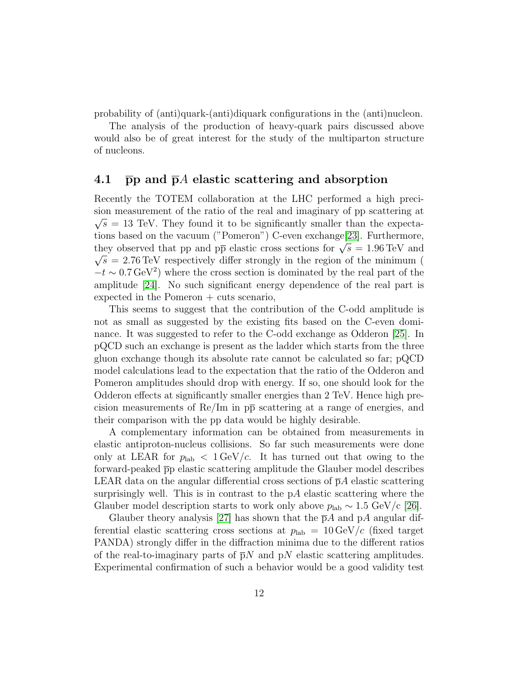probability of (anti)quark-(anti)diquark configurations in the (anti)nucleon.

The analysis of the production of heavy-quark pairs discussed above would also be of great interest for the study of the multiparton structure of nucleons.

#### 4.1  $\bar{p}p$  and  $\bar{p}A$  elastic scattering and absorption

Recently the TOTEM collaboration at the LHC performed a high precision measurement of the ratio of the real and imaginary of pp scattering at  $\sqrt{s}$  = 13 TeV. They found it to be significantly smaller than the expectations based on the vacuum ("Pomeron") C-even exchange[\[23\]](#page-33-6). Furthermore, they observed that pp and pp elastic cross sections for  $\sqrt{s} = 1.96 \text{ TeV}$  and  $\sqrt{s}$  = 2.76 TeV respectively differ strongly in the region of the minimum (  $-t \sim 0.7 \,\text{GeV}^2$ ) where the cross section is dominated by the real part of the amplitude [\[24\]](#page-33-7). No such significant energy dependence of the real part is  $e$ xpected in the Pomeron  $+$  cuts scenario,

This seems to suggest that the contribution of the C-odd amplitude is not as small as suggested by the existing fits based on the C-even dominance. It was suggested to refer to the C-odd exchange as Odderon [\[25\]](#page-33-8). In pQCD such an exchange is present as the ladder which starts from the three gluon exchange though its absolute rate cannot be calculated so far; pQCD model calculations lead to the expectation that the ratio of the Odderon and Pomeron amplitudes should drop with energy. If so, one should look for the Odderon effects at significantly smaller energies than 2 TeV. Hence high precision measurements of  $\text{Re}/\text{Im}$  in  $p\bar{p}$  scattering at a range of energies, and their comparison with the pp data would be highly desirable.

A complementary information can be obtained from measurements in elastic antiproton-nucleus collisions. So far such measurements were done only at LEAR for  $p_{\text{lab}} < 1 \text{ GeV}/c$ . It has turned out that owing to the forward-peaked pp elastic scattering amplitude the Glauber model describes LEAR data on the angular differential cross sections of  $\bar{p}A$  elastic scattering surprisingly well. This is in contrast to the  $pA$  elastic scattering where the Glauber model description starts to work only above  $p_{\text{lab}} \sim 1.5 \text{ GeV/c}$  [\[26\]](#page-34-0).

Glauber theory analysis [\[27\]](#page-34-1) has shown that the  $\bar{p}A$  and pA angular differential elastic scattering cross sections at  $p_{\text{lab}} = 10 \,\text{GeV}/c$  (fixed target PANDA) strongly differ in the diffraction minima due to the different ratios of the real-to-imaginary parts of  $\bar{p}N$  and  $pN$  elastic scattering amplitudes. Experimental confirmation of such a behavior would be a good validity test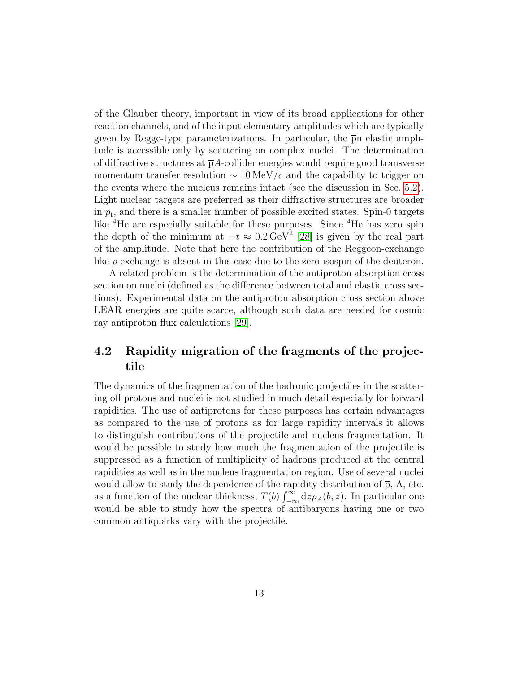of the Glauber theory, important in view of its broad applications for other reaction channels, and of the input elementary amplitudes which are typically given by Regge-type parameterizations. In particular, the  $\overline{p}$  p elastic amplitude is accessible only by scattering on complex nuclei. The determination of diffractive structures at  $\bar{p}A$ -collider energies would require good transverse momentum transfer resolution  $\sim 10 \,\text{MeV}/c$  and the capability to trigger on the events where the nucleus remains intact (see the discussion in Sec. [5.2\)](#page-14-0). Light nuclear targets are preferred as their diffractive structures are broader in  $p_t$ , and there is a smaller number of possible excited states. Spin-0 targets like <sup>4</sup>He are especially suitable for these purposes. Since <sup>4</sup>He has zero spin the depth of the minimum at  $-t \approx 0.2 \,\text{GeV}^2$  [\[28\]](#page-34-2) is given by the real part of the amplitude. Note that here the contribution of the Reggeon-exchange like  $\rho$  exchange is absent in this case due to the zero isospin of the deuteron.

A related problem is the determination of the antiproton absorption cross section on nuclei (defined as the difference between total and elastic cross sections). Experimental data on the antiproton absorption cross section above LEAR energies are quite scarce, although such data are needed for cosmic ray antiproton flux calculations [\[29\]](#page-34-3).

### 4.2 Rapidity migration of the fragments of the projectile

The dynamics of the fragmentation of the hadronic projectiles in the scattering off protons and nuclei is not studied in much detail especially for forward rapidities. The use of antiprotons for these purposes has certain advantages as compared to the use of protons as for large rapidity intervals it allows to distinguish contributions of the projectile and nucleus fragmentation. It would be possible to study how much the fragmentation of the projectile is suppressed as a function of multiplicity of hadrons produced at the central rapidities as well as in the nucleus fragmentation region. Use of several nuclei would allow to study the dependence of the rapidity distribution of  $\bar{p}$ ,  $\bar{\Lambda}$ , etc. as a function of the nuclear thickness,  $T(b) \int_{-\infty}^{\infty} dz \rho_A(b, z)$ . In particular one would be able to study how the spectra of antibaryons having one or two common antiquarks vary with the projectile.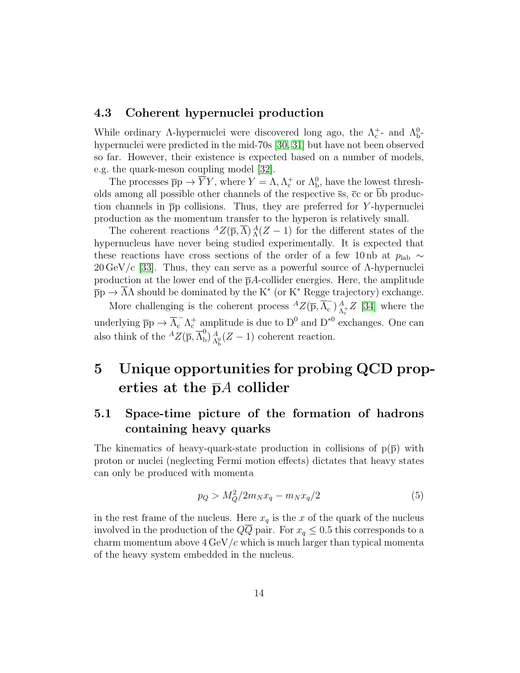#### 4.3 Coherent hypernuclei production

While ordinary  $\Lambda$ -hypernuclei were discovered long ago, the  $\Lambda_c^+$ - and  $\Lambda_b^0$ hypernuclei were predicted in the mid-70s [\[30,](#page-34-4) [31\]](#page-34-5) but have not been observed so far. However, their existence is expected based on a number of models, e.g. the quark-meson coupling model [\[32\]](#page-34-6).

The processes  $\overline{p}p \to \overline{Y}Y$ , where  $Y = \Lambda, \Lambda_c^+$  or  $\Lambda_b^0$ , have the lowest thresholds among all possible other channels of the respective  $\bar{s}s$ ,  $\bar{c}c$  or bb production channels in pp collisions. Thus, they are preferred for Y -hypernuclei production as the momentum transfer to the hyperon is relatively small.

The coherent reactions  ${}^A Z(\overline{p}, \overline{\Lambda}) {}^A_A (Z-1)$  for the different states of the hypernucleus have never being studied experimentally. It is expected that these reactions have cross sections of the order of a few 10 nb at  $p_{\text{lab}} \sim$ 20 GeV/c [\[33\]](#page-34-7). Thus, they can serve as a powerful source of  $\Lambda$ -hypernuclei production at the lower end of the  $\bar{p}A$ -collider energies. Here, the amplitude  $\overline{p}p \to \overline{\Lambda}\Lambda$  should be dominated by the K<sup>\*</sup> (or K<sup>\*</sup> Regge trajectory) exchange.

More challenging is the coherent process  ${}^AZ(\overline{p}, \overline{\Lambda}_c)$  $\left(\begin{smallmatrix} -\ & \lambda \\ c \end{smallmatrix}\right) \left(\begin{smallmatrix} A \ A \end{smallmatrix}\right)$  $^{A}_{\Lambda_{c}^{+}}Z$  [\[34\]](#page-34-8) where the underlying  $\bar{p}p \to \bar{\Lambda}_{c}^{-} \Lambda_{c}^{+}$  amplitude is due to  $D^{0}$  and  $D^{*0}$  exchanges. One can also think of the  ${}^{A}Z(\overline{p}, \overline{\Lambda}^{0}_{b})$  $_{\text{b}}^{\text{0}}$   $_{\Lambda_{\text{b}}^{0}}^{\Lambda}(Z-1)$  coherent reaction.

# 5 Unique opportunities for probing QCD properties at the  $\bar{p}A$  collider

### 5.1 Space-time picture of the formation of hadrons containing heavy quarks

The kinematics of heavy-quark-state production in collisions of  $p(\bar{p})$  with proton or nuclei (neglecting Fermi motion effects) dictates that heavy states can only be produced with momenta

<span id="page-13-0"></span>
$$
p_Q > M_Q^2 / 2m_N x_q - m_N x_q / 2 \tag{5}
$$

in the rest frame of the nucleus. Here  $x_q$  is the x of the quark of the nucleus involved in the production of the  $Q\overline{Q}$  pair. For  $x_q \leq 0.5$  this corresponds to a charm momentum above  $4 \,\mathrm{GeV}/c$  which is much larger than typical momenta of the heavy system embedded in the nucleus.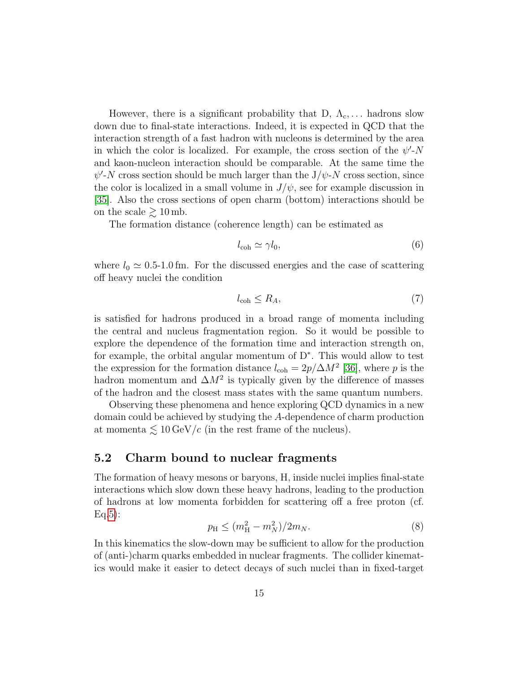However, there is a significant probability that D,  $\Lambda_c$ ,... hadrons slow down due to final-state interactions. Indeed, it is expected in QCD that the interaction strength of a fast hadron with nucleons is determined by the area in which the color is localized. For example, the cross section of the  $\psi'$ -N and kaon-nucleon interaction should be comparable. At the same time the  $\psi'$ -N cross section should be much larger than the J/ $\psi$ -N cross section, since the color is localized in a small volume in  $J/\psi$ , see for example discussion in [\[35\]](#page-34-9). Also the cross sections of open charm (bottom) interactions should be on the scale  $\geq 10$  mb.

The formation distance (coherence length) can be estimated as

$$
l_{\rm coh} \simeq \gamma l_0,\tag{6}
$$

where  $l_0 \simeq 0.5$ -1.0 fm. For the discussed energies and the case of scattering off heavy nuclei the condition

$$
l_{\rm coh} \le R_A,\tag{7}
$$

is satisfied for hadrons produced in a broad range of momenta including the central and nucleus fragmentation region. So it would be possible to explore the dependence of the formation time and interaction strength on, for example, the orbital angular momentum of D<sup>∗</sup> . This would allow to test the expression for the formation distance  $l_{\text{coh}} = 2p/\Delta M^2$  [\[36\]](#page-35-0), where p is the hadron momentum and  $\Delta M^2$  is typically given by the difference of masses of the hadron and the closest mass states with the same quantum numbers.

Observing these phenomena and hence exploring QCD dynamics in a new domain could be achieved by studying the A-dependence of charm production at momenta  $\lesssim 10 \,\mathrm{GeV}/c$  (in the rest frame of the nucleus).

#### <span id="page-14-0"></span>5.2 Charm bound to nuclear fragments

The formation of heavy mesons or baryons, H, inside nuclei implies final-state interactions which slow down these heavy hadrons, leading to the production of hadrons at low momenta forbidden for scattering off a free proton (cf.  $Eq.5):$  $Eq.5):$  $Eq.5):$ 

$$
p_{\rm H} \le (m_{\rm H}^2 - m_N^2)/2m_N. \tag{8}
$$

In this kinematics the slow-down may be sufficient to allow for the production of (anti-)charm quarks embedded in nuclear fragments. The collider kinematics would make it easier to detect decays of such nuclei than in fixed-target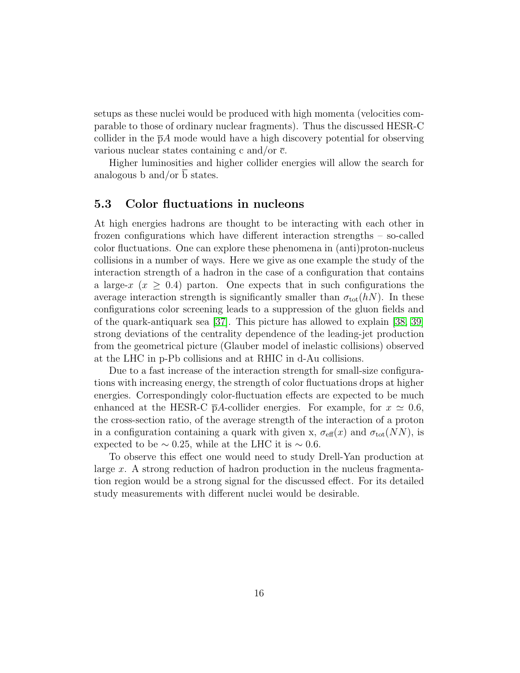setups as these nuclei would be produced with high momenta (velocities comparable to those of ordinary nuclear fragments). Thus the discussed HESR-C collider in the  $\bar{p}A$  mode would have a high discovery potential for observing various nuclear states containing c and/or  $\bar{c}$ .

Higher luminosities and higher collider energies will allow the search for analogous b and/or b states.

#### 5.3 Color fluctuations in nucleons

At high energies hadrons are thought to be interacting with each other in frozen configurations which have different interaction strengths – so-called color fluctuations. One can explore these phenomena in (anti)proton-nucleus collisions in a number of ways. Here we give as one example the study of the interaction strength of a hadron in the case of a configuration that contains a large-x  $(x \geq 0.4)$  parton. One expects that in such configurations the average interaction strength is significantly smaller than  $\sigma_{\text{tot}}(hN)$ . In these configurations color screening leads to a suppression of the gluon fields and of the quark-antiquark sea [\[37\]](#page-35-1). This picture has allowed to explain [\[38,](#page-35-2) [39\]](#page-35-3) strong deviations of the centrality dependence of the leading-jet production from the geometrical picture (Glauber model of inelastic collisions) observed at the LHC in p-Pb collisions and at RHIC in d-Au collisions.

Due to a fast increase of the interaction strength for small-size configurations with increasing energy, the strength of color fluctuations drops at higher energies. Correspondingly color-fluctuation effects are expected to be much enhanced at the HESR-C  $\bar{p}A$ -collider energies. For example, for  $x \simeq 0.6$ , the cross-section ratio, of the average strength of the interaction of a proton in a configuration containing a quark with given x,  $\sigma_{\text{eff}}(x)$  and  $\sigma_{\text{tot}}(NN)$ , is expected to be  $\sim 0.25$ , while at the LHC it is  $\sim 0.6$ .

To observe this effect one would need to study Drell-Yan production at large x. A strong reduction of hadron production in the nucleus fragmentation region would be a strong signal for the discussed effect. For its detailed study measurements with different nuclei would be desirable.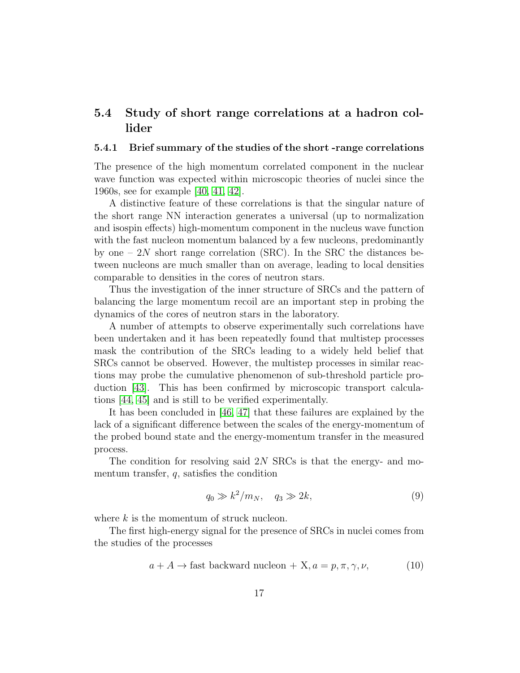### 5.4 Study of short range correlations at a hadron collider

#### 5.4.1 Brief summary of the studies of the short -range correlations

The presence of the high momentum correlated component in the nuclear wave function was expected within microscopic theories of nuclei since the 1960s, see for example [\[40,](#page-35-4) [41,](#page-35-5) [42\]](#page-35-6).

A distinctive feature of these correlations is that the singular nature of the short range NN interaction generates a universal (up to normalization and isospin effects) high-momentum component in the nucleus wave function with the fast nucleon momentum balanced by a few nucleons, predominantly by one –  $2N$  short range correlation (SRC). In the SRC the distances between nucleons are much smaller than on average, leading to local densities comparable to densities in the cores of neutron stars.

Thus the investigation of the inner structure of SRCs and the pattern of balancing the large momentum recoil are an important step in probing the dynamics of the cores of neutron stars in the laboratory.

A number of attempts to observe experimentally such correlations have been undertaken and it has been repeatedly found that multistep processes mask the contribution of the SRCs leading to a widely held belief that SRCs cannot be observed. However, the multistep processes in similar reactions may probe the cumulative phenomenon of sub-threshold particle production [\[43\]](#page-35-7). This has been confirmed by microscopic transport calculations [\[44,](#page-35-8) [45\]](#page-35-9) and is still to be verified experimentally.

It has been concluded in [\[46,](#page-36-0) [47\]](#page-36-1) that these failures are explained by the lack of a significant difference between the scales of the energy-momentum of the probed bound state and the energy-momentum transfer in the measured process.

The condition for resolving said 2N SRCs is that the energy- and momentum transfer,  $q$ , satisfies the condition

<span id="page-16-1"></span><span id="page-16-0"></span>
$$
q_0 \gg k^2/m_N, \quad q_3 \gg 2k,\tag{9}
$$

where  $k$  is the momentum of struck nucleon.

The first high-energy signal for the presence of SRCs in nuclei comes from the studies of the processes

$$
a + A \to \text{fast backward nucleon} + X, a = p, \pi, \gamma, \nu,
$$
 (10)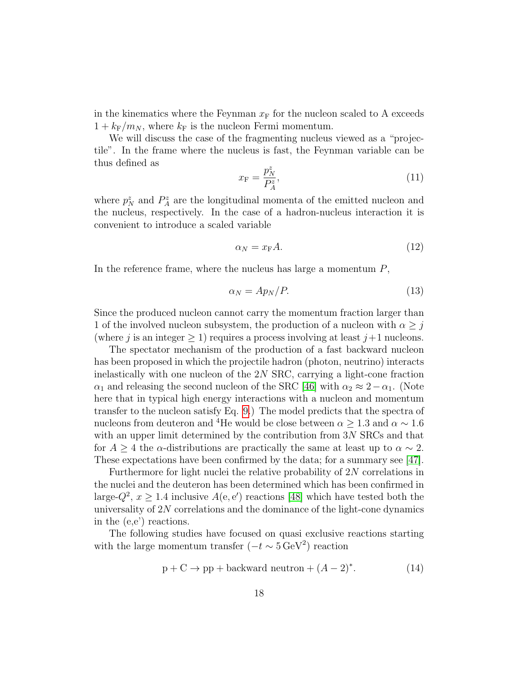in the kinematics where the Feynman  $x_F$  for the nucleon scaled to A exceeds  $1 + k_{\text{F}}/m_N$ , where  $k_{\text{F}}$  is the nucleon Fermi momentum.

We will discuss the case of the fragmenting nucleus viewed as a "projectile". In the frame where the nucleus is fast, the Feynman variable can be thus defined as

$$
x_{\mathcal{F}} = \frac{p_N^z}{P_A^z},\tag{11}
$$

where  $p_N^z$  and  $P_A^z$  are the longitudinal momenta of the emitted nucleon and the nucleus, respectively. In the case of a hadron-nucleus interaction it is convenient to introduce a scaled variable

$$
\alpha_N = x_{\rm F} A. \tag{12}
$$

In the reference frame, where the nucleus has large a momentum  $P$ ,

$$
\alpha_N = Ap_N/P.\tag{13}
$$

Since the produced nucleon cannot carry the momentum fraction larger than 1 of the involved nucleon subsystem, the production of a nucleon with  $\alpha \geq j$ (where j is an integer  $\geq 1$ ) requires a process involving at least  $j+1$  nucleons.

The spectator mechanism of the production of a fast backward nucleon has been proposed in which the projectile hadron (photon, neutrino) interacts inelastically with one nucleon of the 2N SRC, carrying a light-cone fraction  $\alpha_1$  and releasing the second nucleon of the SRC [\[46\]](#page-36-0) with  $\alpha_2 \approx 2-\alpha_1$ . (Note here that in typical high energy interactions with a nucleon and momentum transfer to the nucleon satisfy Eq. [9.](#page-16-0)) The model predicts that the spectra of nucleons from deuteron and <sup>4</sup>He would be close between  $\alpha \geq 1.3$  and  $\alpha \sim 1.6$ with an upper limit determined by the contribution from  $3N$  SRCs and that for  $A \geq 4$  the  $\alpha$ -distributions are practically the same at least up to  $\alpha \sim 2$ . These expectations have been confirmed by the data; for a summary see [\[47\]](#page-36-1).

Furthermore for light nuclei the relative probability of 2N correlations in the nuclei and the deuteron has been determined which has been confirmed in large- $Q^2$ ,  $x \geq 1.4$  inclusive  $A(e, e')$  reactions [\[48\]](#page-36-2) which have tested both the universality of  $2N$  correlations and the dominance of the light-cone dynamics in the (e,e') reactions.

The following studies have focused on quasi exclusive reactions starting with the large momentum transfer  $(-t \sim 5 \,\text{GeV}^2)$  reaction

$$
p + C \to pp + \text{backward neutron} + (A - 2)^*.
$$
 (14)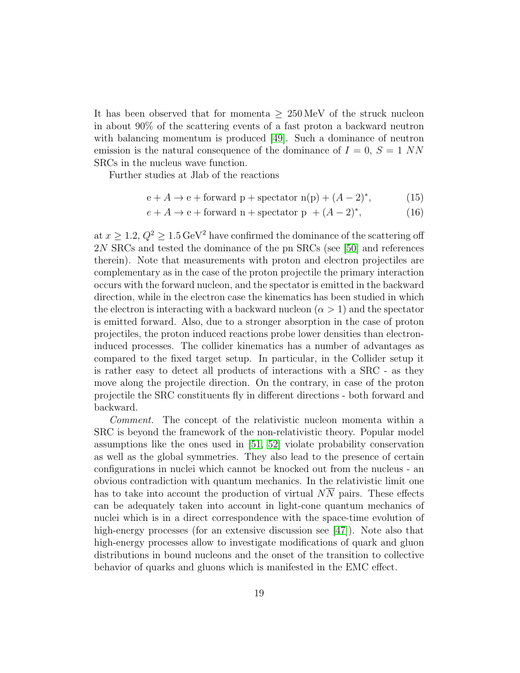It has been observed that for momenta  $\geq 250 \,\text{MeV}$  of the struck nucleon in about 90% of the scattering events of a fast proton a backward neutron with balancing momentum is produced  $|49|$ . Such a dominance of neutron emission is the natural consequence of the dominance of  $I = 0$ ,  $S = 1$  NN SRCs in the nucleus wave function.

Further studies at Jlab of the reactions

$$
e + A \rightarrow e + forward p + spectator n(p) + (A - 2)^*,
$$
 (15)

$$
e + A \to e + \text{forward n} + \text{spectator p} + (A - 2)^*,\tag{16}
$$

at  $x \ge 1.2$ ,  $Q^2 \ge 1.5 \,\text{GeV}^2$  have confirmed the dominance of the scattering off 2N SRCs and tested the dominance of the pn SRCs (see [\[50\]](#page-36-4) and references therein). Note that measurements with proton and electron projectiles are complementary as in the case of the proton projectile the primary interaction occurs with the forward nucleon, and the spectator is emitted in the backward direction, while in the electron case the kinematics has been studied in which the electron is interacting with a backward nucleon  $(\alpha > 1)$  and the spectator is emitted forward. Also, due to a stronger absorption in the case of proton projectiles, the proton induced reactions probe lower densities than electroninduced processes. The collider kinematics has a number of advantages as compared to the fixed target setup. In particular, in the Collider setup it is rather easy to detect all products of interactions with a SRC - as they move along the projectile direction. On the contrary, in case of the proton projectile the SRC constituents fly in different directions - both forward and backward.

Comment. The concept of the relativistic nucleon momenta within a SRC is beyond the framework of the non-relativistic theory. Popular model assumptions like the ones used in [\[51,](#page-36-5) [52\]](#page-36-6) violate probability conservation as well as the global symmetries. They also lead to the presence of certain configurations in nuclei which cannot be knocked out from the nucleus - an obvious contradiction with quantum mechanics. In the relativistic limit one has to take into account the production of virtual  $N\overline{N}$  pairs. These effects can be adequately taken into account in light-cone quantum mechanics of nuclei which is in a direct correspondence with the space-time evolution of high-energy processes (for an extensive discussion see [\[47\]](#page-36-1)). Note also that high-energy processes allow to investigate modifications of quark and gluon distributions in bound nucleons and the onset of the transition to collective behavior of quarks and gluons which is manifested in the EMC effect.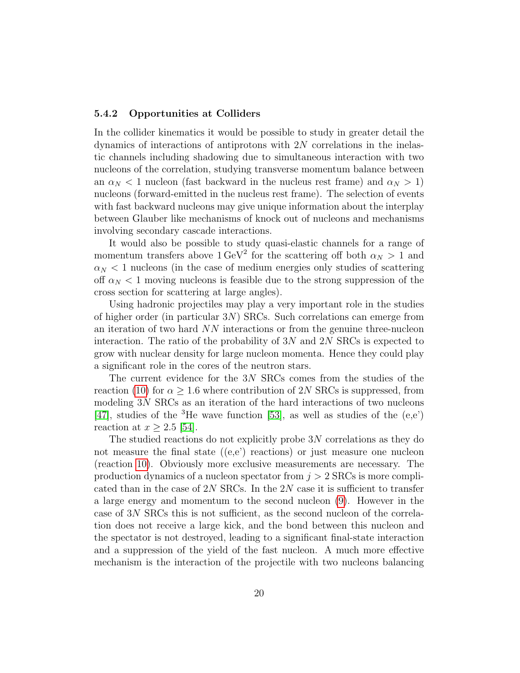#### 5.4.2 Opportunities at Colliders

In the collider kinematics it would be possible to study in greater detail the dynamics of interactions of antiprotons with  $2N$  correlations in the inelastic channels including shadowing due to simultaneous interaction with two nucleons of the correlation, studying transverse momentum balance between an  $\alpha_N < 1$  nucleon (fast backward in the nucleus rest frame) and  $\alpha_N > 1$ ) nucleons (forward-emitted in the nucleus rest frame). The selection of events with fast backward nucleons may give unique information about the interplay between Glauber like mechanisms of knock out of nucleons and mechanisms involving secondary cascade interactions.

It would also be possible to study quasi-elastic channels for a range of momentum transfers above  $1 \text{ GeV}^2$  for the scattering off both  $\alpha_N > 1$  and  $\alpha_N < 1$  nucleons (in the case of medium energies only studies of scattering off  $\alpha_N < 1$  moving nucleons is feasible due to the strong suppression of the cross section for scattering at large angles).

Using hadronic projectiles may play a very important role in the studies of higher order (in particular 3N) SRCs. Such correlations can emerge from an iteration of two hard NN interactions or from the genuine three-nucleon interaction. The ratio of the probability of  $3N$  and  $2N$  SRCs is expected to grow with nuclear density for large nucleon momenta. Hence they could play a significant role in the cores of the neutron stars.

The current evidence for the 3N SRCs comes from the studies of the reaction [\(10\)](#page-16-1) for  $\alpha \geq 1.6$  where contribution of 2N SRCs is suppressed, from modeling 3N SRCs as an iteration of the hard interactions of two nucleons [\[47\]](#page-36-1), studies of the <sup>3</sup>He wave function [\[53\]](#page-36-7), as well as studies of the  $(e,e)$ ] reaction at  $x > 2.5$  [\[54\]](#page-37-0).

The studied reactions do not explicitly probe  $3N$  correlations as they do not measure the final state  $((e,e)$  reactions) or just measure one nucleon (reaction [10\)](#page-16-1). Obviously more exclusive measurements are necessary. The production dynamics of a nucleon spectator from  $j > 2$  SRCs is more complicated than in the case of 2N SRCs. In the 2N case it is sufficient to transfer a large energy and momentum to the second nucleon [\(9\)](#page-16-0). However in the case of 3N SRCs this is not sufficient, as the second nucleon of the correlation does not receive a large kick, and the bond between this nucleon and the spectator is not destroyed, leading to a significant final-state interaction and a suppression of the yield of the fast nucleon. A much more effective mechanism is the interaction of the projectile with two nucleons balancing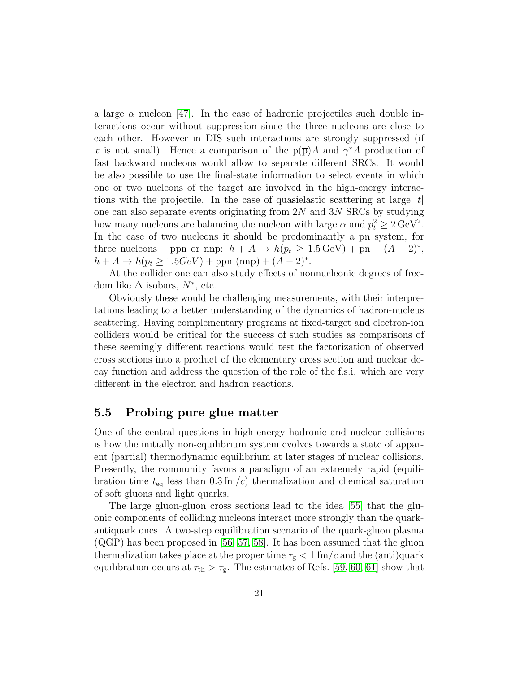a large  $\alpha$  nucleon [\[47\]](#page-36-1). In the case of hadronic projectiles such double interactions occur without suppression since the three nucleons are close to each other. However in DIS such interactions are strongly suppressed (if x is not small). Hence a comparison of the  $p(\bar{p})A$  and  $\gamma^*A$  production of fast backward nucleons would allow to separate different SRCs. It would be also possible to use the final-state information to select events in which one or two nucleons of the target are involved in the high-energy interactions with the projectile. In the case of quasielastic scattering at large  $|t|$ one can also separate events originating from  $2N$  and  $3N$  SRCs by studying how many nucleons are balancing the nucleon with large  $\alpha$  and  $p_t^2 \ge 2 \,\text{GeV}^2$ . In the case of two nucleons it should be predominantly a pn system, for three nucleons – ppn or nnp:  $h + A \rightarrow h(p_t \ge 1.5 \,\text{GeV}) + \text{pn} + (A - 2)^*$ ,  $h + A \to h(p_t \ge 1.5 GeV) +$ ppn (nnp) +  $(A - 2)^*$ .

At the collider one can also study effects of nonnucleonic degrees of freedom like  $\Delta$  isobars,  $N^*$ , etc.

Obviously these would be challenging measurements, with their interpretations leading to a better understanding of the dynamics of hadron-nucleus scattering. Having complementary programs at fixed-target and electron-ion colliders would be critical for the success of such studies as comparisons of these seemingly different reactions would test the factorization of observed cross sections into a product of the elementary cross section and nuclear decay function and address the question of the role of the f.s.i. which are very different in the electron and hadron reactions.

#### 5.5 Probing pure glue matter

One of the central questions in high-energy hadronic and nuclear collisions is how the initially non-equilibrium system evolves towards a state of apparent (partial) thermodynamic equilibrium at later stages of nuclear collisions. Presently, the community favors a paradigm of an extremely rapid (equilibration time  $t_{\text{eq}}$  less than  $0.3 \text{fm}/c$ ) thermalization and chemical saturation of soft gluons and light quarks.

The large gluon-gluon cross sections lead to the idea [\[55\]](#page-37-1) that the gluonic components of colliding nucleons interact more strongly than the quarkantiquark ones. A two-step equilibration scenario of the quark-gluon plasma (QGP) has been proposed in [\[56,](#page-37-2) [57,](#page-37-3) [58\]](#page-37-4). It has been assumed that the gluon thermalization takes place at the proper time  $\tau_{\rm g}$  < 1 fm/c and the (anti)quark equilibration occurs at  $\tau_{\text{th}} > \tau_{\text{g}}$ . The estimates of Refs. [\[59,](#page-37-5) [60,](#page-37-6) [61\]](#page-37-7) show that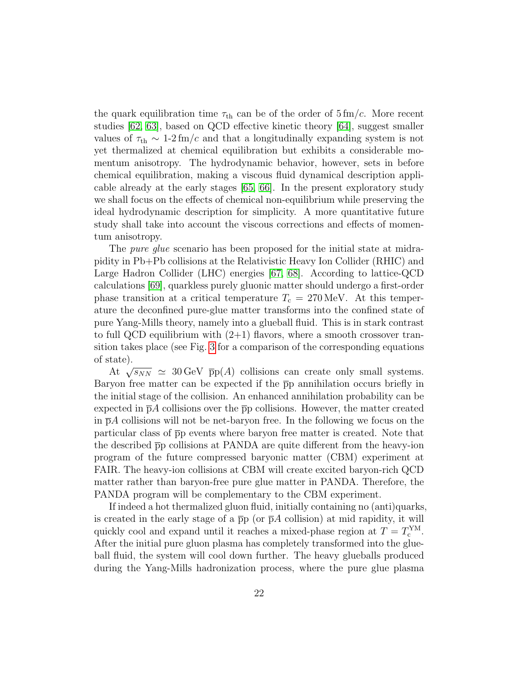the quark equilibration time  $\tau_{\text{th}}$  can be of the order of  $5 \text{ fm}/c$ . More recent studies [\[62,](#page-37-8) [63\]](#page-37-9), based on QCD effective kinetic theory [\[64\]](#page-38-0), suggest smaller values of  $\tau_{\text{th}} \sim 1$ -2 fm/c and that a longitudinally expanding system is not yet thermalized at chemical equilibration but exhibits a considerable momentum anisotropy. The hydrodynamic behavior, however, sets in before chemical equilibration, making a viscous fluid dynamical description applicable already at the early stages [\[65,](#page-38-1) [66\]](#page-38-2). In the present exploratory study we shall focus on the effects of chemical non-equilibrium while preserving the ideal hydrodynamic description for simplicity. A more quantitative future study shall take into account the viscous corrections and effects of momentum anisotropy.

The *pure glue* scenario has been proposed for the initial state at midrapidity in Pb+Pb collisions at the Relativistic Heavy Ion Collider (RHIC) and Large Hadron Collider (LHC) energies [\[67,](#page-38-3) [68\]](#page-38-4). According to lattice-QCD calculations [\[69\]](#page-38-5), quarkless purely gluonic matter should undergo a first-order phase transition at a critical temperature  $T_c = 270 \,\text{MeV}$ . At this temperature the deconfined pure-glue matter transforms into the confined state of pure Yang-Mills theory, namely into a glueball fluid. This is in stark contrast to full QCD equilibrium with  $(2+1)$  flavors, where a smooth crossover transition takes place (see Fig. [3](#page-23-0) for a comparison of the corresponding equations of state).

At  $\sqrt{s_{NN}} \simeq 30 \,\text{GeV}$   $\bar{p}p(A)$  collisions can create only small systems. Baryon free matter can be expected if the  $\overline{p}p$  annihilation occurs briefly in the initial stage of the collision. An enhanced annihilation probability can be expected in  $\bar{p}A$  collisions over the  $\bar{p}p$  collisions. However, the matter created in  $\bar{p}A$  collisions will not be net-baryon free. In the following we focus on the particular class of pp events where baryon free matter is created. Note that the described pp collisions at PANDA are quite different from the heavy-ion program of the future compressed baryonic matter (CBM) experiment at FAIR. The heavy-ion collisions at CBM will create excited baryon-rich QCD matter rather than baryon-free pure glue matter in PANDA. Therefore, the PANDA program will be complementary to the CBM experiment.

If indeed a hot thermalized gluon fluid, initially containing no (anti)quarks, is created in the early stage of a  $\bar{p}p$  (or  $\bar{p}A$  collision) at mid rapidity, it will quickly cool and expand until it reaches a mixed-phase region at  $T = T_c^{\text{YM}}$ . After the initial pure gluon plasma has completely transformed into the glueball fluid, the system will cool down further. The heavy glueballs produced during the Yang-Mills hadronization process, where the pure glue plasma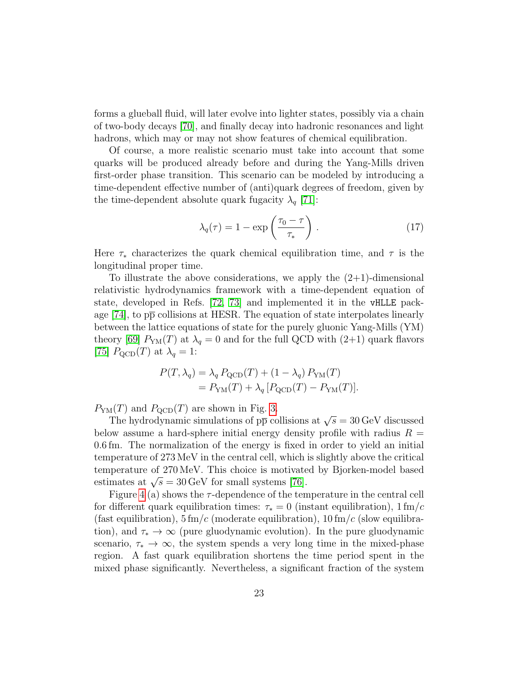forms a glueball fluid, will later evolve into lighter states, possibly via a chain of two-body decays [\[70\]](#page-38-6), and finally decay into hadronic resonances and light hadrons, which may or may not show features of chemical equilibration.

Of course, a more realistic scenario must take into account that some quarks will be produced already before and during the Yang-Mills driven first-order phase transition. This scenario can be modeled by introducing a time-dependent effective number of (anti)quark degrees of freedom, given by the time-dependent absolute quark fugacity  $\lambda_q$  [\[71\]](#page-38-7):

$$
\lambda_q(\tau) = 1 - \exp\left(\frac{\tau_0 - \tau}{\tau_*}\right). \tag{17}
$$

Here  $\tau_*$  characterizes the quark chemical equilibration time, and  $\tau$  is the longitudinal proper time.

To illustrate the above considerations, we apply the  $(2+1)$ -dimensional relativistic hydrodynamics framework with a time-dependent equation of state, developed in Refs. [\[72,](#page-38-8) [73\]](#page-39-0) and implemented it in the vHLLE package  $[74]$ , to  $p\bar{p}$  collisions at HESR. The equation of state interpolates linearly between the lattice equations of state for the purely gluonic Yang-Mills (YM) theory [\[69\]](#page-38-5)  $P_{YM}(T)$  at  $\lambda_q = 0$  and for the full QCD with (2+1) quark flavors [\[75\]](#page-39-2)  $P_{\text{QCD}}(T)$  at  $\lambda_q = 1$ :

$$
P(T, \lambda_q) = \lambda_q P_{\text{QCD}}(T) + (1 - \lambda_q) P_{\text{YM}}(T)
$$
  
=  $P_{\text{YM}}(T) + \lambda_q [P_{\text{QCD}}(T) - P_{\text{YM}}(T)].$ 

 $P_{YM}(T)$  and  $P_{\text{QCD}}(T)$  are shown in Fig. [3.](#page-23-0)

The hydrodynamic simulations of  $p\bar{p}$  collisions at  $\sqrt{s} = 30 \,\text{GeV}$  discussed below assume a hard-sphere initial energy density profile with radius  $R =$ 0.6 fm. The normalization of the energy is fixed in order to yield an initial temperature of 273 MeV in the central cell, which is slightly above the critical temperature of 270 MeV. This choice is motivated by Bjorken-model based estimates at  $\sqrt{s} = 30 \,\text{GeV}$  for small systems [\[76\]](#page-39-3).

Figure [4](#page-24-0) (a) shows the  $\tau$ -dependence of the temperature in the central cell for different quark equilibration times:  $\tau_* = 0$  (instant equilibration),  $1 \text{ fm}/c$ (fast equilibration),  $5 \text{ fm}/c$  (moderate equilibration),  $10 \text{ fm}/c$  (slow equilibration), and  $\tau_* \to \infty$  (pure gluodynamic evolution). In the pure gluodynamic scenario,  $\tau_* \to \infty$ , the system spends a very long time in the mixed-phase region. A fast quark equilibration shortens the time period spent in the mixed phase significantly. Nevertheless, a significant fraction of the system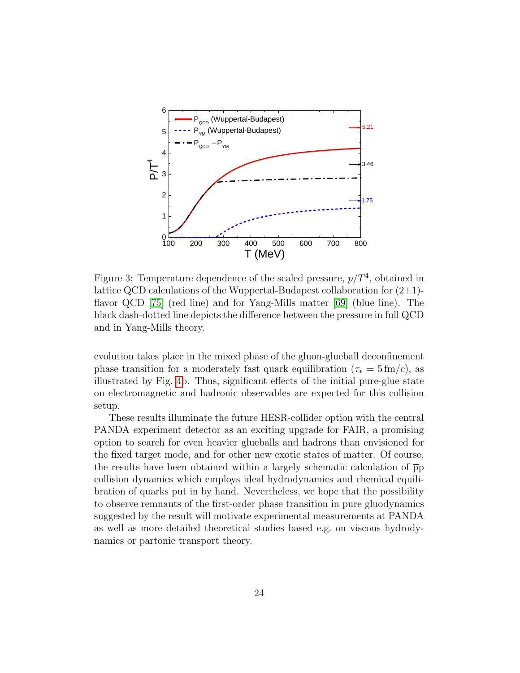

<span id="page-23-0"></span>Figure 3: Temperature dependence of the scaled pressure,  $p/T<sup>4</sup>$ , obtained in lattice QCD calculations of the Wuppertal-Budapest collaboration for  $(2+1)$ flavor QCD [\[75\]](#page-39-2) (red line) and for Yang-Mills matter [\[69\]](#page-38-5) (blue line). The black dash-dotted line depicts the difference between the pressure in full QCD and in Yang-Mills theory.

evolution takes place in the mixed phase of the gluon-glueball deconfinement phase transition for a moderately fast quark equilibration ( $\tau_* = 5 \text{ fm}/c$ ), as illustrated by Fig. [4b](#page-24-0). Thus, significant effects of the initial pure-glue state on electromagnetic and hadronic observables are expected for this collision setup.

These results illuminate the future HESR-collider option with the central PANDA experiment detector as an exciting upgrade for FAIR, a promising option to search for even heavier glueballs and hadrons than envisioned for the fixed target mode, and for other new exotic states of matter. Of course, the results have been obtained within a largely schematic calculation of  $\bar{p}p$ collision dynamics which employs ideal hydrodynamics and chemical equilibration of quarks put in by hand. Nevertheless, we hope that the possibility to observe remnants of the first-order phase transition in pure gluodynamics suggested by the result will motivate experimental measurements at PANDA as well as more detailed theoretical studies based e.g. on viscous hydrodynamics or partonic transport theory.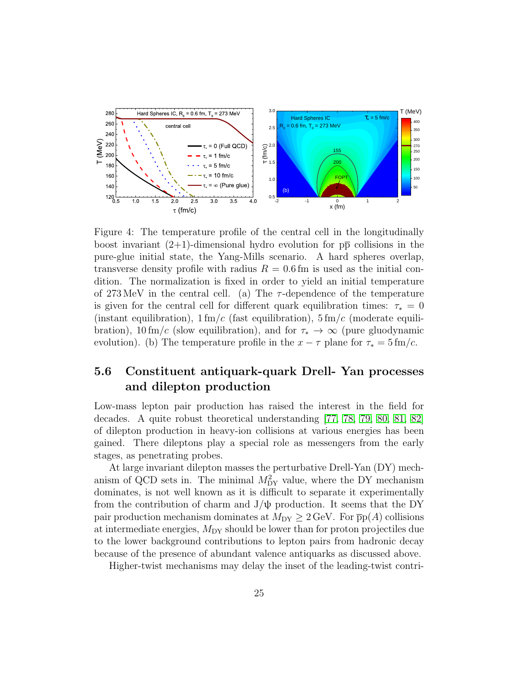

<span id="page-24-0"></span>Figure 4: The temperature profile of the central cell in the longitudinally boost invariant  $(2+1)$ -dimensional hydro evolution for  $p\bar{p}$  collisions in the pure-glue initial state, the Yang-Mills scenario. A hard spheres overlap, transverse density profile with radius  $R = 0.6$  fm is used as the initial condition. The normalization is fixed in order to yield an initial temperature of 273 MeV in the central cell. (a) The  $\tau$ -dependence of the temperature is given for the central cell for different quark equilibration times:  $\tau_* = 0$ (instant equilibration),  $1 \text{ fm}/c$  (fast equilibration),  $5 \text{ fm}/c$  (moderate equilibration), 10 fm/c (slow equilibration), and for  $\tau_* \to \infty$  (pure gluodynamic evolution). (b) The temperature profile in the  $x - \tau$  plane for  $\tau_* = 5 \text{ fm/c}$ .

### 5.6 Constituent antiquark-quark Drell- Yan processes and dilepton production

Low-mass lepton pair production has raised the interest in the field for decades. A quite robust theoretical understanding [\[77,](#page-39-4) [78,](#page-39-5) [79,](#page-39-6) [80,](#page-39-7) [81,](#page-40-0) [82\]](#page-40-1) of dilepton production in heavy-ion collisions at various energies has been gained. There dileptons play a special role as messengers from the early stages, as penetrating probes.

At large invariant dilepton masses the perturbative Drell-Yan (DY) mechanism of QCD sets in. The minimal  $M_{DY}^2$  value, where the DY mechanism dominates, is not well known as it is difficult to separate it experimentally from the contribution of charm and  $J/\psi$  production. It seems that the DY pair production mechanism dominates at  $M_{DY} \geq 2 \text{ GeV}$ . For  $\bar{p}p(A)$  collisions at intermediate energies,  $M_{DY}$  should be lower than for proton projectiles due to the lower background contributions to lepton pairs from hadronic decay because of the presence of abundant valence antiquarks as discussed above.

Higher-twist mechanisms may delay the inset of the leading-twist contri-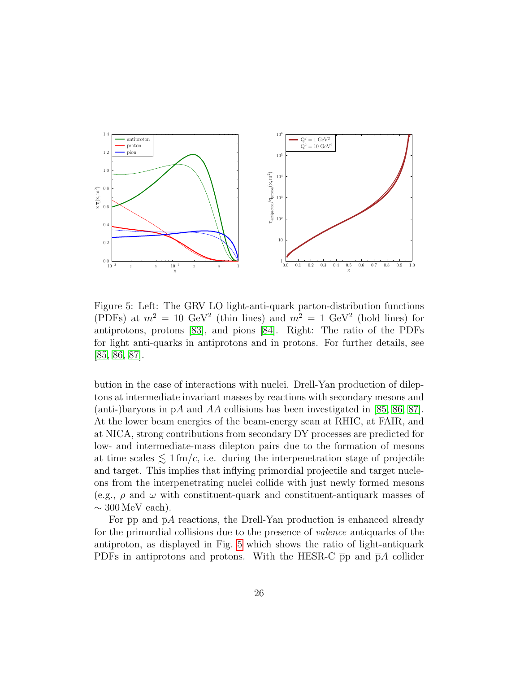

<span id="page-25-0"></span>Figure 5: Left: The GRV LO light-anti-quark parton-distribution functions (PDFs) at  $m^2 = 10 \text{ GeV}^2$  (thin lines) and  $m^2 = 1 \text{ GeV}^2$  (bold lines) for antiprotons, protons [\[83\]](#page-40-2), and pions [\[84\]](#page-40-3). Right: The ratio of the PDFs for light anti-quarks in antiprotons and in protons. For further details, see [\[85,](#page-40-4) [86,](#page-40-5) [87\]](#page-40-6).

bution in the case of interactions with nuclei. Drell-Yan production of dileptons at intermediate invariant masses by reactions with secondary mesons and (anti-)baryons in pA and AA collisions has been investigated in [\[85,](#page-40-4) [86,](#page-40-5) [87\]](#page-40-6). At the lower beam energies of the beam-energy scan at RHIC, at FAIR, and at NICA, strong contributions from secondary DY processes are predicted for low- and intermediate-mass dilepton pairs due to the formation of mesons at time scales  $\leq 1$  fm/c, i.e. during the interpenetration stage of projectile and target. This implies that inflying primordial projectile and target nucleons from the interpenetrating nuclei collide with just newly formed mesons (e.g.,  $\rho$  and  $\omega$  with constituent-quark and constituent-antiquark masses of  $\sim$  300 MeV each).

For  $\bar{p}p$  and  $\bar{p}A$  reactions, the Drell-Yan production is enhanced already for the primordial collisions due to the presence of valence antiquarks of the antiproton, as displayed in Fig. [5](#page-25-0) which shows the ratio of light-antiquark PDFs in antiprotons and protons. With the HESR-C  $\bar{p}p$  and  $\bar{p}A$  collider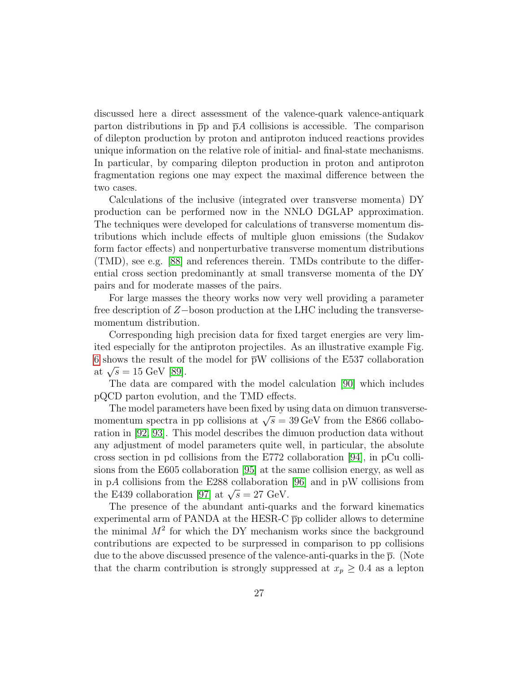discussed here a direct assessment of the valence-quark valence-antiquark parton distributions in  $\bar{p}p$  and  $\bar{p}A$  collisions is accessible. The comparison of dilepton production by proton and antiproton induced reactions provides unique information on the relative role of initial- and final-state mechanisms. In particular, by comparing dilepton production in proton and antiproton fragmentation regions one may expect the maximal difference between the two cases.

Calculations of the inclusive (integrated over transverse momenta) DY production can be performed now in the NNLO DGLAP approximation. The techniques were developed for calculations of transverse momentum distributions which include effects of multiple gluon emissions (the Sudakov form factor effects) and nonperturbative transverse momentum distributions (TMD), see e.g. [\[88\]](#page-40-7) and references therein. TMDs contribute to the differential cross section predominantly at small transverse momenta of the DY pairs and for moderate masses of the pairs.

For large masses the theory works now very well providing a parameter free description of Z−boson production at the LHC including the transversemomentum distribution.

Corresponding high precision data for fixed target energies are very limited especially for the antiproton projectiles. As an illustrative example Fig. [6](#page-27-0) shows the result of the model for  $\bar{p}W$  collisions of the E537 collaboration at  $\sqrt{s} = 15 \text{ GeV} [89]$  $\sqrt{s} = 15 \text{ GeV} [89]$ .

The data are compared with the model calculation [\[90\]](#page-41-1) which includes pQCD parton evolution, and the TMD effects.

The model parameters have been fixed by using data on dimuon transversemomentum spectra in pp collisions at  $\sqrt{s} = 39 \,\text{GeV}$  from the E866 collaboration in [\[92,](#page-41-2) [93\]](#page-41-3). This model describes the dimuon production data without any adjustment of model parameters quite well, in particular, the absolute cross section in pd collisions from the E772 collaboration [\[94\]](#page-41-4), in pCu collisions from the E605 collaboration [\[95\]](#page-41-5) at the same collision energy, as well as in pA collisions from the E288 collaboration [\[96\]](#page-41-6) and in pW collisions from the E439 collaboration [\[97\]](#page-42-0) at  $\sqrt{s} = 27$  GeV.

The presence of the abundant anti-quarks and the forward kinematics experimental arm of PANDA at the HESR-C  $\bar{p}p$  collider allows to determine the minimal  $M^2$  for which the DY mechanism works since the background contributions are expected to be surpressed in comparison to pp collisions due to the above discussed presence of the valence-anti-quarks in the  $\bar{p}$ . (Note that the charm contribution is strongly suppressed at  $x_p \geq 0.4$  as a lepton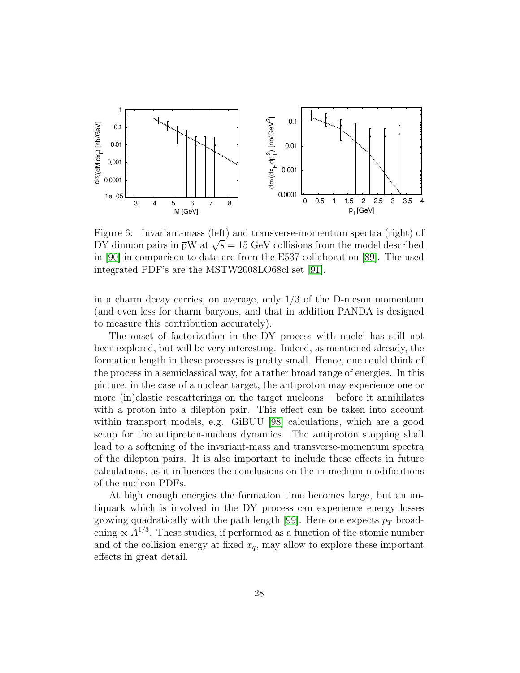

<span id="page-27-0"></span>Figure 6: Invariant-mass (left) and transverse-momentum spectra (right) of DY dimuon pairs in  $\bar{p}W$  at  $\sqrt{s} = 15$  GeV collisions from the model described in [\[90\]](#page-41-1) in comparison to data are from the E537 collaboration [\[89\]](#page-41-0). The used integrated PDF's are the MSTW2008LO68cl set [\[91\]](#page-41-7).

in a charm decay carries, on average, only 1/3 of the D-meson momentum (and even less for charm baryons, and that in addition PANDA is designed to measure this contribution accurately).

The onset of factorization in the DY process with nuclei has still not been explored, but will be very interesting. Indeed, as mentioned already, the formation length in these processes is pretty small. Hence, one could think of the process in a semiclassical way, for a rather broad range of energies. In this picture, in the case of a nuclear target, the antiproton may experience one or more (in)elastic rescatterings on the target nucleons – before it annihilates with a proton into a dilepton pair. This effect can be taken into account within transport models, e.g. GiBUU [\[98\]](#page-42-1) calculations, which are a good setup for the antiproton-nucleus dynamics. The antiproton stopping shall lead to a softening of the invariant-mass and transverse-momentum spectra of the dilepton pairs. It is also important to include these effects in future calculations, as it influences the conclusions on the in-medium modifications of the nucleon PDFs.

At high enough energies the formation time becomes large, but an antiquark which is involved in the DY process can experience energy losses growing quadratically with the path length [\[99\]](#page-42-2). Here one expects  $p_T$  broadening  $\propto A^{1/3}$ . These studies, if performed as a function of the atomic number and of the collision energy at fixed  $x_{\overline{q}}$ , may allow to explore these important effects in great detail.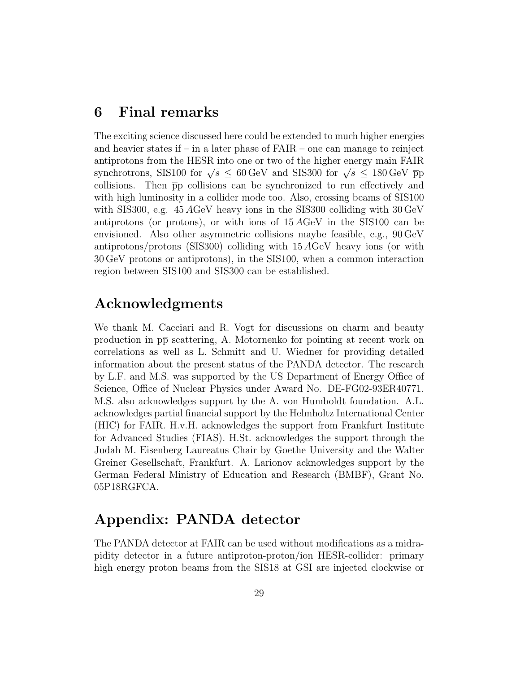### 6 Final remarks

The exciting science discussed here could be extended to much higher energies and heavier states if  $-$  in a later phase of  $FAIR$  – one can manage to reinject antiprotons from the HESR into one or two of the higher energy main FAIR synchrotrons, SIS100 for  $\sqrt{s} \leq 60 \,\text{GeV}$  and SIS300 for  $\sqrt{s} \leq 180 \,\text{GeV}$  pp collisions. Then  $\bar{p}p$  collisions can be synchronized to run effectively and with high luminosity in a collider mode too. Also, crossing beams of SIS100 with SIS300, e.g. 45 AGeV heavy ions in the SIS300 colliding with 30 GeV antiprotons (or protons), or with ions of 15 AGeV in the SIS100 can be envisioned. Also other asymmetric collisions maybe feasible, e.g., 90 GeV antiprotons/protons (SIS300) colliding with 15 AGeV heavy ions (or with 30 GeV protons or antiprotons), in the SIS100, when a common interaction region between SIS100 and SIS300 can be established.

### Acknowledgments

We thank M. Cacciari and R. Vogt for discussions on charm and beauty production in pp scattering, A. Motornenko for pointing at recent work on correlations as well as L. Schmitt and U. Wiedner for providing detailed information about the present status of the PANDA detector. The research by L.F. and M.S. was supported by the US Department of Energy Office of Science, Office of Nuclear Physics under Award No. DE-FG02-93ER40771. M.S. also acknowledges support by the A. von Humboldt foundation. A.L. acknowledges partial financial support by the Helmholtz International Center (HIC) for FAIR. H.v.H. acknowledges the support from Frankfurt Institute for Advanced Studies (FIAS). H.St. acknowledges the support through the Judah M. Eisenberg Laureatus Chair by Goethe University and the Walter Greiner Gesellschaft, Frankfurt. A. Larionov acknowledges support by the German Federal Ministry of Education and Research (BMBF), Grant No. 05P18RGFCA.

### Appendix: PANDA detector

The PANDA detector at FAIR can be used without modifications as a midrapidity detector in a future antiproton-proton/ion HESR-collider: primary high energy proton beams from the SIS18 at GSI are injected clockwise or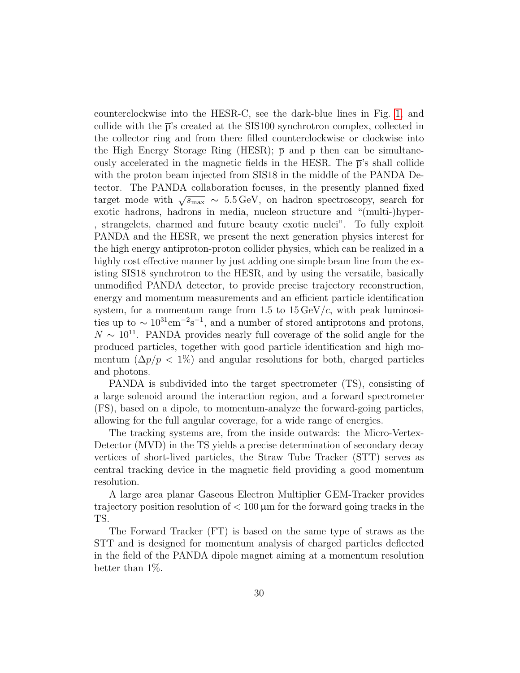counterclockwise into the HESR-C, see the dark-blue lines in Fig. [1,](#page-2-0) and collide with the  $\bar{p}$ 's created at the SIS100 synchrotron complex, collected in the collector ring and from there filled counterclockwise or clockwise into the High Energy Storage Ring (HESR);  $\bar{p}$  and p then can be simultaneously accelerated in the magnetic fields in the HESR. The  $\bar{p}$ 's shall collide with the proton beam injected from SIS18 in the middle of the PANDA Detector. The PANDA collaboration focuses, in the presently planned fixed target mode with  $\sqrt{s_{\text{max}}} \sim 5.5 \,\text{GeV}$ , on hadron spectroscopy, search for exotic hadrons, hadrons in media, nucleon structure and "(multi-)hyper- , strangelets, charmed and future beauty exotic nuclei". To fully exploit PANDA and the HESR, we present the next generation physics interest for the high energy antiproton-proton collider physics, which can be realized in a highly cost effective manner by just adding one simple beam line from the existing SIS18 synchrotron to the HESR, and by using the versatile, basically unmodified PANDA detector, to provide precise trajectory reconstruction, energy and momentum measurements and an efficient particle identification system, for a momentum range from 1.5 to  $15 \,\mathrm{GeV}/c$ , with peak luminosities up to  $\sim 10^{31} \text{cm}^{-2} \text{s}^{-1}$ , and a number of stored antiprotons and protons,  $N \sim 10^{11}$ . PANDA provides nearly full coverage of the solid angle for the produced particles, together with good particle identification and high momentum  $(\Delta p/p < 1\%)$  and angular resolutions for both, charged particles and photons.

PANDA is subdivided into the target spectrometer (TS), consisting of a large solenoid around the interaction region, and a forward spectrometer (FS), based on a dipole, to momentum-analyze the forward-going particles, allowing for the full angular coverage, for a wide range of energies.

The tracking systems are, from the inside outwards: the Micro-Vertex-Detector (MVD) in the TS yields a precise determination of secondary decay vertices of short-lived particles, the Straw Tube Tracker (STT) serves as central tracking device in the magnetic field providing a good momentum resolution.

A large area planar Gaseous Electron Multiplier GEM-Tracker provides trajectory position resolution of  $< 100 \mu m$  for the forward going tracks in the TS.

The Forward Tracker (FT) is based on the same type of straws as the STT and is designed for momentum analysis of charged particles deflected in the field of the PANDA dipole magnet aiming at a momentum resolution better than 1%.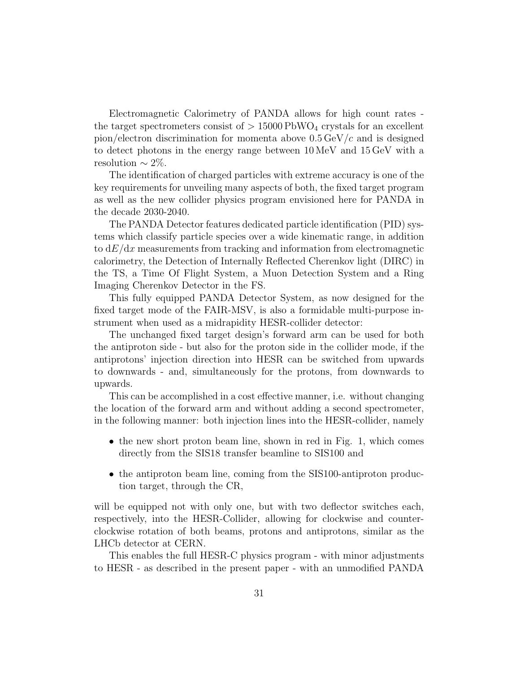Electromagnetic Calorimetry of PANDA allows for high count rates the target spectrometers consist of  $> 15000$  PbWO<sub>4</sub> crystals for an excellent pion/electron discrimination for momenta above  $0.5 \,\text{GeV}/c$  and is designed to detect photons in the energy range between 10 MeV and 15 GeV with a resolution  $\sim 2\%$ .

The identification of charged particles with extreme accuracy is one of the key requirements for unveiling many aspects of both, the fixed target program as well as the new collider physics program envisioned here for PANDA in the decade 2030-2040.

The PANDA Detector features dedicated particle identification (PID) systems which classify particle species over a wide kinematic range, in addition to  $dE/dx$  measurements from tracking and information from electromagnetic calorimetry, the Detection of Internally Reflected Cherenkov light (DIRC) in the TS, a Time Of Flight System, a Muon Detection System and a Ring Imaging Cherenkov Detector in the FS.

This fully equipped PANDA Detector System, as now designed for the fixed target mode of the FAIR-MSV, is also a formidable multi-purpose instrument when used as a midrapidity HESR-collider detector:

The unchanged fixed target design's forward arm can be used for both the antiproton side - but also for the proton side in the collider mode, if the antiprotons' injection direction into HESR can be switched from upwards to downwards - and, simultaneously for the protons, from downwards to upwards.

This can be accomplished in a cost effective manner, i.e. without changing the location of the forward arm and without adding a second spectrometer, in the following manner: both injection lines into the HESR-collider, namely

- the new short proton beam line, shown in red in Fig. 1, which comes directly from the SIS18 transfer beamline to SIS100 and
- the antiproton beam line, coming from the SIS100-antiproton production target, through the CR,

will be equipped not with only one, but with two deflector switches each, respectively, into the HESR-Collider, allowing for clockwise and counterclockwise rotation of both beams, protons and antiprotons, similar as the LHCb detector at CERN.

This enables the full HESR-C physics program - with minor adjustments to HESR - as described in the present paper - with an unmodified PANDA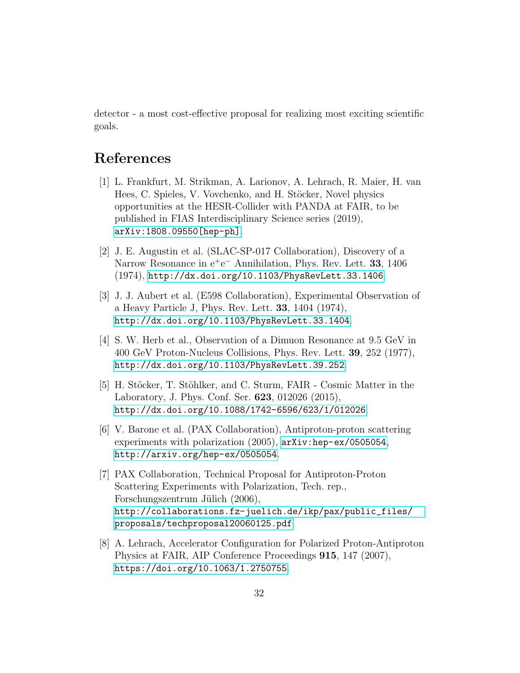detector - a most cost-effective proposal for realizing most exciting scientific goals.

### References

- <span id="page-31-4"></span>[1] L. Frankfurt, M. Strikman, A. Larionov, A. Lehrach, R. Maier, H. van Hees, C. Spieles, V. Vovchenko, and H. Stöcker, Novel physics opportunities at the HESR-Collider with PANDA at FAIR, to be published in FIAS Interdisciplinary Science series (2019), [arXiv:1808.09550\[hep-ph\]](arXiv: 1808.09550 [hep-ph]).
- <span id="page-31-0"></span>[2] J. E. Augustin et al. (SLAC-SP-017 Collaboration), Discovery of a Narrow Resonance in  $e^+e^-$  Annihilation, Phys. Rev. Lett. 33, 1406 (1974), <http://dx.doi.org/10.1103/PhysRevLett.33.1406>.
- <span id="page-31-1"></span>[3] J. J. Aubert et al. (E598 Collaboration), Experimental Observation of a Heavy Particle J, Phys. Rev. Lett. 33, 1404 (1974), <http://dx.doi.org/10.1103/PhysRevLett.33.1404>.
- <span id="page-31-2"></span>[4] S. W. Herb et al., Observation of a Dimuon Resonance at 9.5 GeV in 400 GeV Proton-Nucleus Collisions, Phys. Rev. Lett. 39, 252 (1977), <http://dx.doi.org/10.1103/PhysRevLett.39.252>.
- <span id="page-31-3"></span>[5] H. Stöcker, T. Stöhlker, and C. Sturm, FAIR - Cosmic Matter in the Laboratory, J. Phys. Conf. Ser. 623, 012026 (2015), <http://dx.doi.org/10.1088/1742-6596/623/1/012026>.
- <span id="page-31-5"></span>[6] V. Barone et al. (PAX Collaboration), Antiproton-proton scattering experiments with polarization (2005),  $arXiv:hep-ex/0505054$ , <http://arxiv.org/hep-ex/0505054>.
- <span id="page-31-6"></span>[7] PAX Collaboration, Technical Proposal for Antiproton-Proton Scattering Experiments with Polarization, Tech. rep., Forschungszentrum Jülich (2006), [http://collaborations.fz-juelich.de/ikp/pax/public\\_files/](http://collaborations.fz-juelich.de/ikp/pax/public_files/proposals/techproposal20060125.pdf) [proposals/techproposal20060125.pdf](http://collaborations.fz-juelich.de/ikp/pax/public_files/proposals/techproposal20060125.pdf).
- <span id="page-31-7"></span>[8] A. Lehrach, Accelerator Configuration for Polarized Proton-Antiproton Physics at FAIR, AIP Conference Proceedings 915, 147 (2007), <https://doi.org/10.1063/1.2750755>.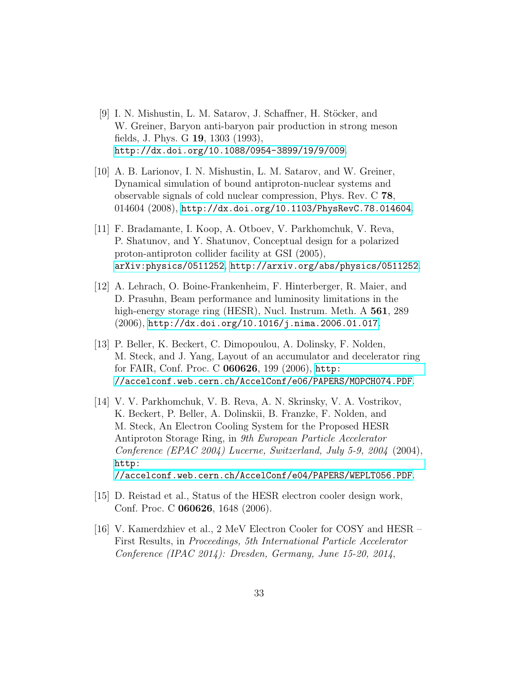- <span id="page-32-0"></span>[9] I. N. Mishustin, L. M. Satarov, J. Schaffner, H. Stöcker, and W. Greiner, Baryon anti-baryon pair production in strong meson fields, J. Phys. G 19, 1303 (1993), <http://dx.doi.org/10.1088/0954-3899/19/9/009>.
- <span id="page-32-1"></span>[10] A. B. Larionov, I. N. Mishustin, L. M. Satarov, and W. Greiner, Dynamical simulation of bound antiproton-nuclear systems and observable signals of cold nuclear compression, Phys. Rev. C 78, 014604 (2008), <http://dx.doi.org/10.1103/PhysRevC.78.014604>.
- <span id="page-32-2"></span>[11] F. Bradamante, I. Koop, A. Otboev, V. Parkhomchuk, V. Reva, P. Shatunov, and Y. Shatunov, Conceptual design for a polarized proton-antiproton collider facility at GSI (2005), [arXiv:physics/0511252](arXiv: physics/0511252), <http://arxiv.org/abs/physics/0511252>.
- <span id="page-32-3"></span>[12] A. Lehrach, O. Boine-Frankenheim, F. Hinterberger, R. Maier, and D. Prasuhn, Beam performance and luminosity limitations in the high-energy storage ring (HESR), Nucl. Instrum. Meth. A **561**, 289 (2006), <http://dx.doi.org/10.1016/j.nima.2006.01.017>.
- <span id="page-32-4"></span>[13] P. Beller, K. Beckert, C. Dimopoulou, A. Dolinsky, F. Nolden, M. Steck, and J. Yang, Layout of an accumulator and decelerator ring for FAIR, Conf. Proc. C 060626, 199 (2006), [http:](http://accelconf.web.cern.ch/AccelConf/e06/PAPERS/MOPCH074.PDF) [//accelconf.web.cern.ch/AccelConf/e06/PAPERS/MOPCH074.PDF](http://accelconf.web.cern.ch/AccelConf/e06/PAPERS/MOPCH074.PDF).
- <span id="page-32-5"></span>[14] V. V. Parkhomchuk, V. B. Reva, A. N. Skrinsky, V. A. Vostrikov, K. Beckert, P. Beller, A. Dolinskii, B. Franzke, F. Nolden, and M. Steck, An Electron Cooling System for the Proposed HESR Antiproton Storage Ring, in 9th European Particle Accelerator Conference (EPAC 2004) Lucerne, Switzerland, July 5-9, 2004 (2004), [http:](http://accelconf.web.cern.ch/AccelConf/e04/PAPERS/WEPLT056.PDF) [//accelconf.web.cern.ch/AccelConf/e04/PAPERS/WEPLT056.PDF](http://accelconf.web.cern.ch/AccelConf/e04/PAPERS/WEPLT056.PDF).
- <span id="page-32-6"></span>[15] D. Reistad et al., Status of the HESR electron cooler design work, Conf. Proc. C 060626, 1648 (2006).
- <span id="page-32-7"></span>[16] V. Kamerdzhiev et al., 2 MeV Electron Cooler for COSY and HESR – First Results, in Proceedings, 5th International Particle Accelerator Conference (IPAC 2014): Dresden, Germany, June 15-20, 2014,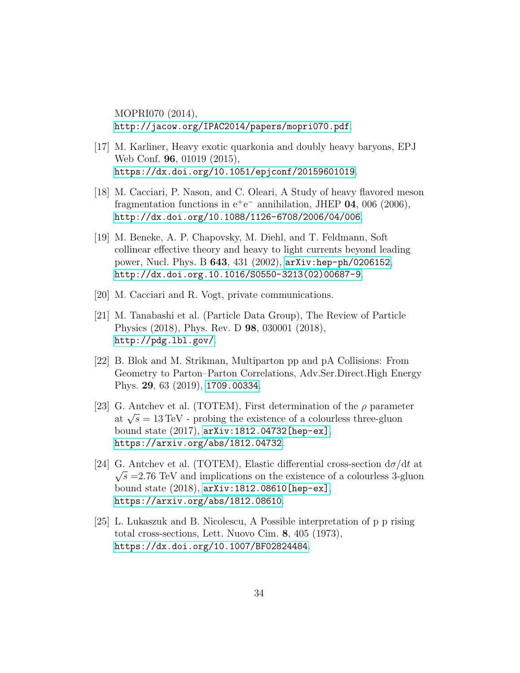MOPRI070 (2014), <http://jacow.org/IPAC2014/papers/mopri070.pdf>.

- <span id="page-33-0"></span>[17] M. Karliner, Heavy exotic quarkonia and doubly heavy baryons, EPJ Web Conf. 96, 01019 (2015), <https://dx.doi.org/10.1051/epjconf/20159601019>.
- <span id="page-33-1"></span>[18] M. Cacciari, P. Nason, and C. Oleari, A Study of heavy flavored meson fragmentation functions in  $e^+e^-$  annihilation, JHEP 04, 006 (2006), <http://dx.doi.org/10.1088/1126-6708/2006/04/006>.
- <span id="page-33-2"></span>[19] M. Beneke, A. P. Chapovsky, M. Diehl, and T. Feldmann, Soft collinear effective theory and heavy to light currents beyond leading power, Nucl. Phys. B 643, 431 (2002), [arXiv:hep-ph/0206152](arXiv: hep-ph/0206152), [http://dx.doi.org.10.1016/S0550-3213\(02\)00687-9](http://dx.doi.org.10.1016/S0550-3213(02)00687-9).
- <span id="page-33-3"></span>[20] M. Cacciari and R. Vogt, private communications.
- <span id="page-33-4"></span>[21] M. Tanabashi et al. (Particle Data Group), The Review of Particle Physics (2018), Phys. Rev. D 98, 030001 (2018), <http://pdg.lbl.gov/>.
- <span id="page-33-5"></span>[22] B. Blok and M. Strikman, Multiparton pp and pA Collisions: From Geometry to Parton–Parton Correlations, Adv.Ser.Direct.High Energy Phys. 29, 63 (2019), <1709.00334>.
- <span id="page-33-6"></span>[23] G. Antchev et al. (TOTEM), First determination of the  $\rho$  parameter at  $\sqrt{s} = 13 \,\text{TeV}$  - probing the existence of a colourless three-gluon bound state (2017), [arXiv:1812.04732\[hep-ex\]](arXiv: 1812.04732 [hep-ex]), <https://arxiv.org/abs/1812.04732>.
- <span id="page-33-7"></span>[24] G. Antchev et al. (TOTEM), Elastic differential cross-section  $d\sigma/dt$  at  $\sqrt{s}$  =2.76 TeV and implications on the existence of a colourless 3-gluon bound state (2018), [arXiv:1812.08610\[hep-ex\]](arXiv: 1812.08610 [hep-ex]), <https://arxiv.org/abs/1812.08610>.
- <span id="page-33-8"></span>[25] L. Lukaszuk and B. Nicolescu, A Possible interpretation of p p rising total cross-sections, Lett. Nuovo Cim. 8, 405 (1973), <https://dx.doi.org/10.1007/BF02824484>.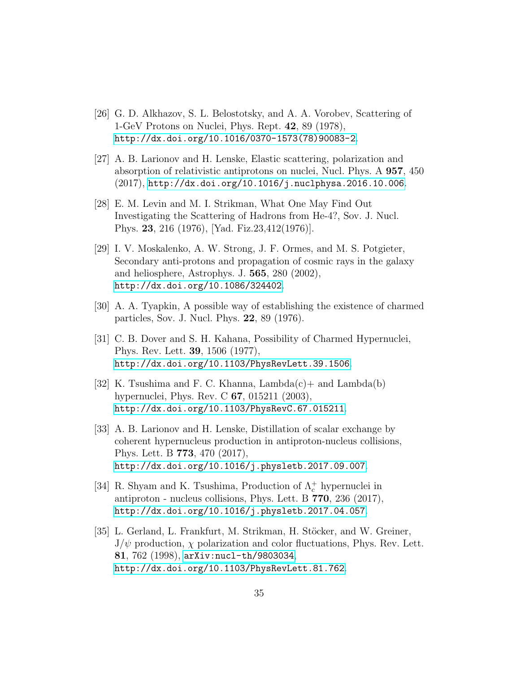- <span id="page-34-0"></span>[26] G. D. Alkhazov, S. L. Belostotsky, and A. A. Vorobev, Scattering of 1-GeV Protons on Nuclei, Phys. Rept. 42, 89 (1978), [http://dx.doi.org/10.1016/0370-1573\(78\)90083-2](http://dx.doi.org/10.1016/0370-1573(78)90083-2).
- <span id="page-34-1"></span>[27] A. B. Larionov and H. Lenske, Elastic scattering, polarization and absorption of relativistic antiprotons on nuclei, Nucl. Phys. A 957, 450 (2017), <http://dx.doi.org/10.1016/j.nuclphysa.2016.10.006>.
- <span id="page-34-2"></span>[28] E. M. Levin and M. I. Strikman, What One May Find Out Investigating the Scattering of Hadrons from He-4?, Sov. J. Nucl. Phys. 23, 216 (1976), [Yad. Fiz.23,412(1976)].
- <span id="page-34-3"></span>[29] I. V. Moskalenko, A. W. Strong, J. F. Ormes, and M. S. Potgieter, Secondary anti-protons and propagation of cosmic rays in the galaxy and heliosphere, Astrophys. J. 565, 280 (2002), <http://dx.doi.org/10.1086/324402>.
- <span id="page-34-4"></span>[30] A. A. Tyapkin, A possible way of establishing the existence of charmed particles, Sov. J. Nucl. Phys. 22, 89 (1976).
- <span id="page-34-5"></span>[31] C. B. Dover and S. H. Kahana, Possibility of Charmed Hypernuclei, Phys. Rev. Lett. 39, 1506 (1977), <http://dx.doi.org/10.1103/PhysRevLett.39.1506>.
- <span id="page-34-6"></span>[32] K. Tsushima and F. C. Khanna, Lambda $(c)$  + and Lambda $(b)$ hypernuclei, Phys. Rev. C 67, 015211 (2003), <http://dx.doi.org/10.1103/PhysRevC.67.015211>.
- <span id="page-34-7"></span>[33] A. B. Larionov and H. Lenske, Distillation of scalar exchange by coherent hypernucleus production in antiproton-nucleus collisions, Phys. Lett. B 773, 470 (2017), <http://dx.doi.org/10.1016/j.physletb.2017.09.007>.
- <span id="page-34-8"></span>[34] R. Shyam and K. Tsushima, Production of  $\Lambda_c^+$  hypernuclei in antiproton - nucleus collisions, Phys. Lett. B 770, 236 (2017), <http://dx.doi.org/10.1016/j.physletb.2017.04.057>.
- <span id="page-34-9"></span>[35] L. Gerland, L. Frankfurt, M. Strikman, H. Stöcker, and W. Greiner,  $J/\psi$  production,  $\chi$  polarization and color fluctuations, Phys. Rev. Lett. 81, 762 (1998), <arXiv:nucl-th/9803034>, <http://dx.doi.org/10.1103/PhysRevLett.81.762>.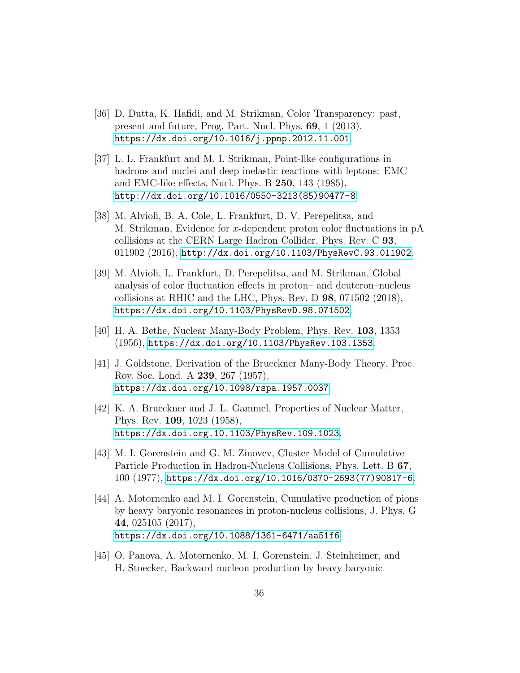- <span id="page-35-0"></span>[36] D. Dutta, K. Hafidi, and M. Strikman, Color Transparency: past, present and future, Prog. Part. Nucl. Phys. 69, 1 (2013), <https://dx.doi.org/10.1016/j.ppnp.2012.11.001>.
- <span id="page-35-1"></span>[37] L. L. Frankfurt and M. I. Strikman, Point-like configurations in hadrons and nuclei and deep inelastic reactions with leptons: EMC and EMC-like effects, Nucl. Phys. B 250, 143 (1985), [http://dx.doi.org/10.1016/0550-3213\(85\)90477-8](http://dx.doi.org/10.1016/0550-3213(85)90477-8).
- <span id="page-35-2"></span>[38] M. Alvioli, B. A. Cole, L. Frankfurt, D. V. Perepelitsa, and M. Strikman, Evidence for x-dependent proton color fluctuations in pA collisions at the CERN Large Hadron Collider, Phys. Rev. C 93, 011902 (2016), <http://dx.doi.org/10.1103/PhysRevC.93.011902>.
- <span id="page-35-3"></span>[39] M. Alvioli, L. Frankfurt, D. Perepelitsa, and M. Strikman, Global analysis of color fluctuation effects in proton– and deuteron–nucleus collisions at RHIC and the LHC, Phys. Rev. D 98, 071502 (2018), <https://dx.doi.org/10.1103/PhysRevD.98.071502>.
- <span id="page-35-4"></span>[40] H. A. Bethe, Nuclear Many-Body Problem, Phys. Rev. 103, 1353 (1956), <https://dx.doi.org/10.1103/PhysRev.103.1353>.
- <span id="page-35-5"></span>[41] J. Goldstone, Derivation of the Brueckner Many-Body Theory, Proc. Roy. Soc. Lond. A 239, 267 (1957), <https://dx.doi.org/10.1098/rspa.1957.0037>.
- <span id="page-35-6"></span>[42] K. A. Brueckner and J. L. Gammel, Properties of Nuclear Matter, Phys. Rev. 109, 1023 (1958), <https://dx.doi.org.10.1103/PhysRev.109.1023>.
- <span id="page-35-7"></span>[43] M. I. Gorenstein and G. M. Zinovev, Cluster Model of Cumulative Particle Production in Hadron-Nucleus Collisions, Phys. Lett. B 67, 100 (1977), [https://dx.doi.org/10.1016/0370-2693\(77\)90817-6](https://dx.doi.org/10.1016/0370-2693(77)90817-6).
- <span id="page-35-8"></span>[44] A. Motornenko and M. I. Gorenstein, Cumulative production of pions by heavy baryonic resonances in proton-nucleus collisions, J. Phys. G 44, 025105 (2017), <https://dx.doi.org/10.1088/1361-6471/aa51f6>.
- <span id="page-35-9"></span>[45] O. Panova, A. Motornenko, M. I. Gorenstein, J. Steinheimer, and H. Stoecker, Backward nucleon production by heavy baryonic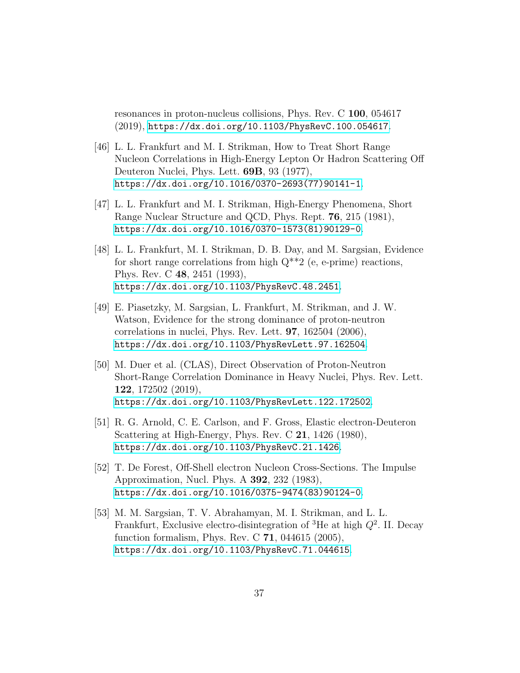resonances in proton-nucleus collisions, Phys. Rev. C 100, 054617 (2019), <https://dx.doi.org/10.1103/PhysRevC.100.054617>.

- <span id="page-36-0"></span>[46] L. L. Frankfurt and M. I. Strikman, How to Treat Short Range Nucleon Correlations in High-Energy Lepton Or Hadron Scattering Off Deuteron Nuclei, Phys. Lett. 69B, 93 (1977), [https://dx.doi.org/10.1016/0370-2693\(77\)90141-1](https://dx.doi.org/10.1016/0370-2693(77)90141-1).
- <span id="page-36-1"></span>[47] L. L. Frankfurt and M. I. Strikman, High-Energy Phenomena, Short Range Nuclear Structure and QCD, Phys. Rept. 76, 215 (1981), [https://dx.doi.org/10.1016/0370-1573\(81\)90129-0](https://dx.doi.org/10.1016/0370-1573(81)90129-0).
- <span id="page-36-2"></span>[48] L. L. Frankfurt, M. I. Strikman, D. B. Day, and M. Sargsian, Evidence for short range correlations from high  $Q^{**}2$  (e, e-prime) reactions, Phys. Rev. C 48, 2451 (1993), <https://dx.doi.org/10.1103/PhysRevC.48.2451>.
- <span id="page-36-3"></span>[49] E. Piasetzky, M. Sargsian, L. Frankfurt, M. Strikman, and J. W. Watson, Evidence for the strong dominance of proton-neutron correlations in nuclei, Phys. Rev. Lett. 97, 162504 (2006), <https://dx.doi.org/10.1103/PhysRevLett.97.162504>.
- <span id="page-36-4"></span>[50] M. Duer et al. (CLAS), Direct Observation of Proton-Neutron Short-Range Correlation Dominance in Heavy Nuclei, Phys. Rev. Lett. 122, 172502 (2019), <https://dx.doi.org/10.1103/PhysRevLett.122.172502>.
- <span id="page-36-5"></span>[51] R. G. Arnold, C. E. Carlson, and F. Gross, Elastic electron-Deuteron Scattering at High-Energy, Phys. Rev. C 21, 1426 (1980), <https://dx.doi.org/10.1103/PhysRevC.21.1426>.
- <span id="page-36-6"></span>[52] T. De Forest, Off-Shell electron Nucleon Cross-Sections. The Impulse Approximation, Nucl. Phys. A 392, 232 (1983), [https://dx.doi.org/10.1016/0375-9474\(83\)90124-0](https://dx.doi.org/10.1016/0375-9474(83)90124-0).
- <span id="page-36-7"></span>[53] M. M. Sargsian, T. V. Abrahamyan, M. I. Strikman, and L. L. Frankfurt, Exclusive electro-disintegration of <sup>3</sup>He at high  $Q^2$ . II. Decay function formalism, Phys. Rev. C 71, 044615 (2005), <https://dx.doi.org/10.1103/PhysRevC.71.044615>.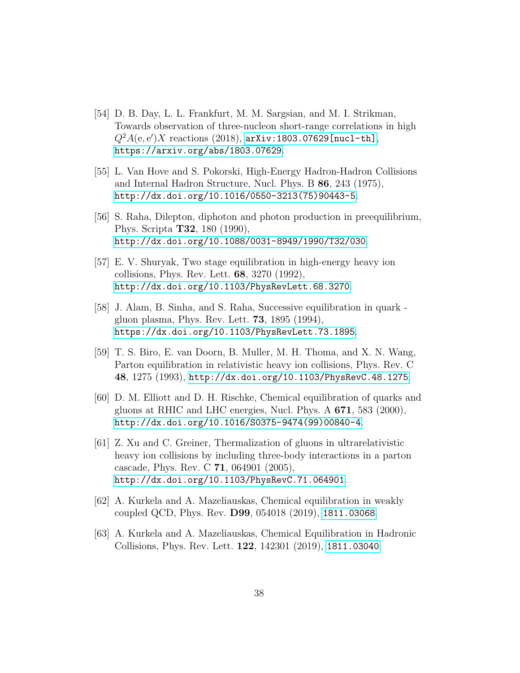- <span id="page-37-0"></span>[54] D. B. Day, L. L. Frankfurt, M. M. Sargsian, and M. I. Strikman, Towards observation of three-nucleon short-range correlations in high  $Q^2A(e, e')X$  reactions (2018),  $arXiv:1803.07629$ [nucl-th], <https://arxiv.org/abs/1803.07629>.
- <span id="page-37-1"></span>[55] L. Van Hove and S. Pokorski, High-Energy Hadron-Hadron Collisions and Internal Hadron Structure, Nucl. Phys. B 86, 243 (1975), [http://dx.doi.org/10.1016/0550-3213\(75\)90443-5](http://dx.doi.org/10.1016/0550-3213(75)90443-5).
- <span id="page-37-2"></span>[56] S. Raha, Dilepton, diphoton and photon production in preequilibrium, Phys. Scripta T32, 180 (1990), <http://dx.doi.org/10.1088/0031-8949/1990/T32/030>.
- <span id="page-37-3"></span>[57] E. V. Shuryak, Two stage equilibration in high-energy heavy ion collisions, Phys. Rev. Lett. 68, 3270 (1992), <http://dx.doi.org/10.1103/PhysRevLett.68.3270>.
- <span id="page-37-4"></span>[58] J. Alam, B. Sinha, and S. Raha, Successive equilibration in quark gluon plasma, Phys. Rev. Lett. 73, 1895 (1994), <https://dx.doi.org/10.1103/PhysRevLett.73.1895>.
- <span id="page-37-5"></span>[59] T. S. Biro, E. van Doorn, B. Muller, M. H. Thoma, and X. N. Wang, Parton equilibration in relativistic heavy ion collisions, Phys. Rev. C 48, 1275 (1993), <http://dx.doi.org/10.1103/PhysRevC.48.1275>.
- <span id="page-37-6"></span>[60] D. M. Elliott and D. H. Rischke, Chemical equilibration of quarks and gluons at RHIC and LHC energies, Nucl. Phys. A 671, 583 (2000), [http://dx.doi.org/10.1016/S0375-9474\(99\)00840-4](http://dx.doi.org/10.1016/S0375-9474(99)00840-4).
- <span id="page-37-7"></span>[61] Z. Xu and C. Greiner, Thermalization of gluons in ultrarelativistic heavy ion collisions by including three-body interactions in a parton cascade, Phys. Rev. C 71, 064901 (2005), <http://dx.doi.org/10.1103/PhysRevC.71.064901>.
- <span id="page-37-8"></span>[62] A. Kurkela and A. Mazeliauskas, Chemical equilibration in weakly coupled QCD, Phys. Rev. D99, 054018 (2019), <1811.03068>.
- <span id="page-37-9"></span>[63] A. Kurkela and A. Mazeliauskas, Chemical Equilibration in Hadronic Collisions, Phys. Rev. Lett. 122, 142301 (2019), <1811.03040>.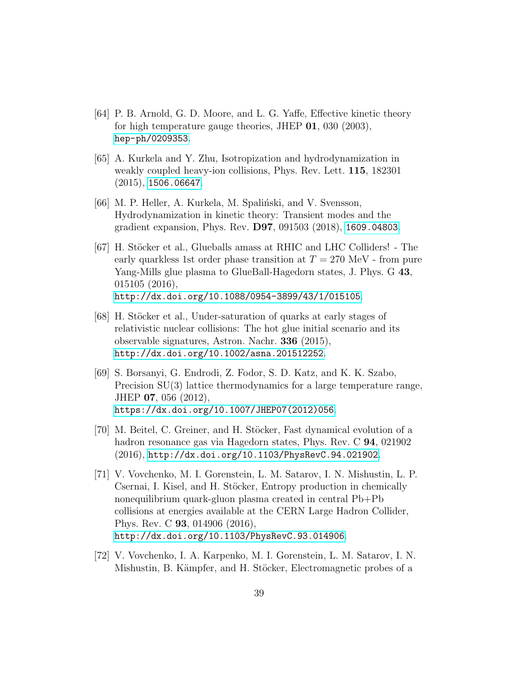- <span id="page-38-0"></span>[64] P. B. Arnold, G. D. Moore, and L. G. Yaffe, Effective kinetic theory for high temperature gauge theories, JHEP 01, 030 (2003), <hep-ph/0209353>.
- <span id="page-38-1"></span>[65] A. Kurkela and Y. Zhu, Isotropization and hydrodynamization in weakly coupled heavy-ion collisions, Phys. Rev. Lett. 115, 182301 (2015), <1506.06647>.
- <span id="page-38-2"></span>[66] M. P. Heller, A. Kurkela, M. Spaliński, and V. Svensson, Hydrodynamization in kinetic theory: Transient modes and the gradient expansion, Phys. Rev. D97, 091503 (2018), <1609.04803>.
- <span id="page-38-3"></span>[67] H. Stöcker et al., Glueballs amass at RHIC and LHC Colliders! - The early quarkless 1st order phase transition at  $T = 270$  MeV - from pure Yang-Mills glue plasma to GlueBall-Hagedorn states, J. Phys. G 43, 015105 (2016), <http://dx.doi.org/10.1088/0954-3899/43/1/015105>.
- <span id="page-38-4"></span>[68] H. Stöcker et al., Under-saturation of quarks at early stages of relativistic nuclear collisions: The hot glue initial scenario and its observable signatures, Astron. Nachr. 336 (2015), <http://dx.doi.org/10.1002/asna.201512252>.
- <span id="page-38-5"></span>[69] S. Borsanyi, G. Endrodi, Z. Fodor, S. D. Katz, and K. K. Szabo, Precision SU(3) lattice thermodynamics for a large temperature range, JHEP 07, 056 (2012), [https://dx.doi.org/10.1007/JHEP07\(2012\)056](https://dx.doi.org/10.1007/JHEP07(2012)056).
- <span id="page-38-6"></span>[70] M. Beitel, C. Greiner, and H. Stöcker, Fast dynamical evolution of a hadron resonance gas via Hagedorn states, Phys. Rev. C 94, 021902 (2016), <http://dx.doi.org/10.1103/PhysRevC.94.021902>.
- <span id="page-38-7"></span>[71] V. Vovchenko, M. I. Gorenstein, L. M. Satarov, I. N. Mishustin, L. P. Csernai, I. Kisel, and H. Stöcker, Entropy production in chemically nonequilibrium quark-gluon plasma created in central Pb+Pb collisions at energies available at the CERN Large Hadron Collider, Phys. Rev. C 93, 014906 (2016), <http://dx.doi.org/10.1103/PhysRevC.93.014906>.
- <span id="page-38-8"></span>[72] V. Vovchenko, I. A. Karpenko, M. I. Gorenstein, L. M. Satarov, I. N. Mishustin, B. Kämpfer, and H. Stöcker, Electromagnetic probes of a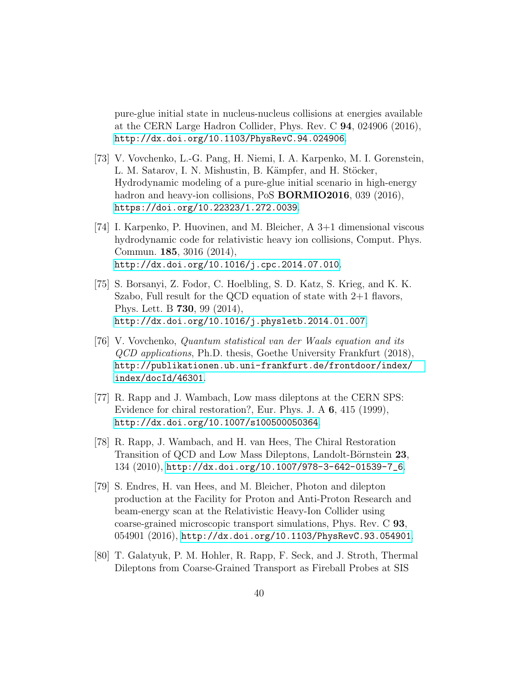pure-glue initial state in nucleus-nucleus collisions at energies available at the CERN Large Hadron Collider, Phys. Rev. C 94, 024906 (2016), <http://dx.doi.org/10.1103/PhysRevC.94.024906>.

- <span id="page-39-0"></span>[73] V. Vovchenko, L.-G. Pang, H. Niemi, I. A. Karpenko, M. I. Gorenstein, L. M. Satarov, I. N. Mishustin, B. Kämpfer, and H. Stöcker, Hydrodynamic modeling of a pure-glue initial scenario in high-energy hadron and heavy-ion collisions, PoS **BORMIO2016**, 039 (2016), <https://doi.org/10.22323/1.272.0039>.
- <span id="page-39-1"></span>[74] I. Karpenko, P. Huovinen, and M. Bleicher, A 3+1 dimensional viscous hydrodynamic code for relativistic heavy ion collisions, Comput. Phys. Commun. 185, 3016 (2014), <http://dx.doi.org/10.1016/j.cpc.2014.07.010>.
- <span id="page-39-2"></span>[75] S. Borsanyi, Z. Fodor, C. Hoelbling, S. D. Katz, S. Krieg, and K. K. Szabo, Full result for the QCD equation of state with 2+1 flavors, Phys. Lett. B 730, 99 (2014), <http://dx.doi.org/10.1016/j.physletb.2014.01.007>.
- <span id="page-39-3"></span>[76] V. Vovchenko, Quantum statistical van der Waals equation and its QCD applications, Ph.D. thesis, Goethe University Frankfurt (2018), [http://publikationen.ub.uni-frankfurt.de/frontdoor/index/](http://publikationen.ub.uni-frankfurt.de/frontdoor/index/index/docId/46301) [index/docId/46301](http://publikationen.ub.uni-frankfurt.de/frontdoor/index/index/docId/46301).
- <span id="page-39-4"></span>[77] R. Rapp and J. Wambach, Low mass dileptons at the CERN SPS: Evidence for chiral restoration?, Eur. Phys. J. A 6, 415 (1999), <http://dx.doi.org/10.1007/s100500050364>.
- <span id="page-39-5"></span>[78] R. Rapp, J. Wambach, and H. van Hees, The Chiral Restoration Transition of QCD and Low Mass Dileptons, Landolt-Börnstein 23, 134 (2010), [http://dx.doi.org/10.1007/978-3-642-01539-7\\_6](http://dx.doi.org/10.1007/978-3-642-01539-7_6).
- <span id="page-39-6"></span>[79] S. Endres, H. van Hees, and M. Bleicher, Photon and dilepton production at the Facility for Proton and Anti-Proton Research and beam-energy scan at the Relativistic Heavy-Ion Collider using coarse-grained microscopic transport simulations, Phys. Rev. C 93, 054901 (2016), <http://dx.doi.org/10.1103/PhysRevC.93.054901>.
- <span id="page-39-7"></span>[80] T. Galatyuk, P. M. Hohler, R. Rapp, F. Seck, and J. Stroth, Thermal Dileptons from Coarse-Grained Transport as Fireball Probes at SIS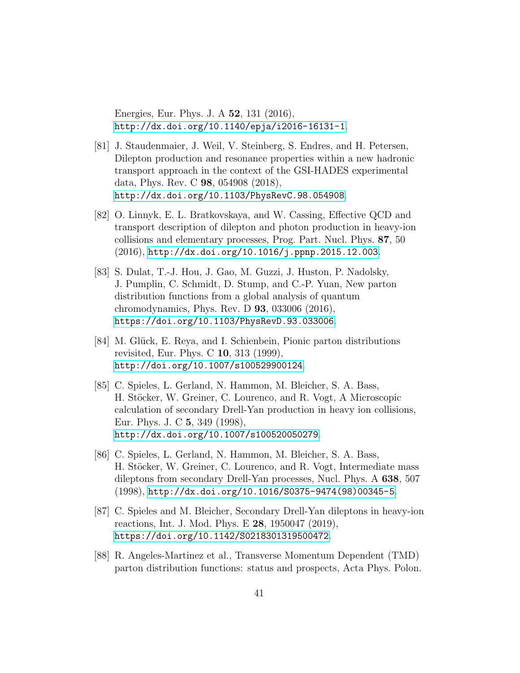Energies, Eur. Phys. J. A 52, 131 (2016), <http://dx.doi.org/10.1140/epja/i2016-16131-1>.

- <span id="page-40-0"></span>[81] J. Staudenmaier, J. Weil, V. Steinberg, S. Endres, and H. Petersen, Dilepton production and resonance properties within a new hadronic transport approach in the context of the GSI-HADES experimental data, Phys. Rev. C 98, 054908 (2018), <http://dx.doi.org/10.1103/PhysRevC.98.054908>.
- <span id="page-40-1"></span>[82] O. Linnyk, E. L. Bratkovskaya, and W. Cassing, Effective QCD and transport description of dilepton and photon production in heavy-ion collisions and elementary processes, Prog. Part. Nucl. Phys. 87, 50 (2016), <http://dx.doi.org/10.1016/j.ppnp.2015.12.003>.
- <span id="page-40-2"></span>[83] S. Dulat, T.-J. Hou, J. Gao, M. Guzzi, J. Huston, P. Nadolsky, J. Pumplin, C. Schmidt, D. Stump, and C.-P. Yuan, New parton distribution functions from a global analysis of quantum chromodynamics, Phys. Rev. D 93, 033006 (2016), <https://doi.org/10.1103/PhysRevD.93.033006>.
- <span id="page-40-3"></span>[84] M. Glück, E. Reya, and I. Schienbein, Pionic parton distributions revisited, Eur. Phys. C 10, 313 (1999), <http://doi.org/10.1007/s100529900124>.
- <span id="page-40-4"></span>[85] C. Spieles, L. Gerland, N. Hammon, M. Bleicher, S. A. Bass, H. Stöcker, W. Greiner, C. Lourenco, and R. Vogt, A Microscopic calculation of secondary Drell-Yan production in heavy ion collisions, Eur. Phys. J. C 5, 349 (1998), <http://dx.doi.org/10.1007/s100520050279>.
- <span id="page-40-5"></span>[86] C. Spieles, L. Gerland, N. Hammon, M. Bleicher, S. A. Bass, H. Stöcker, W. Greiner, C. Lourenco, and R. Vogt, Intermediate mass dileptons from secondary Drell-Yan processes, Nucl. Phys. A 638, 507 (1998), [http://dx.doi.org/10.1016/S0375-9474\(98\)00345-5](http://dx.doi.org/10.1016/S0375-9474(98)00345-5).
- <span id="page-40-6"></span>[87] C. Spieles and M. Bleicher, Secondary Drell-Yan dileptons in heavy-ion reactions, Int. J. Mod. Phys. E 28, 1950047 (2019), <https://doi.org/10.1142/S0218301319500472>.
- <span id="page-40-7"></span>[88] R. Angeles-Martinez et al., Transverse Momentum Dependent (TMD) parton distribution functions: status and prospects, Acta Phys. Polon.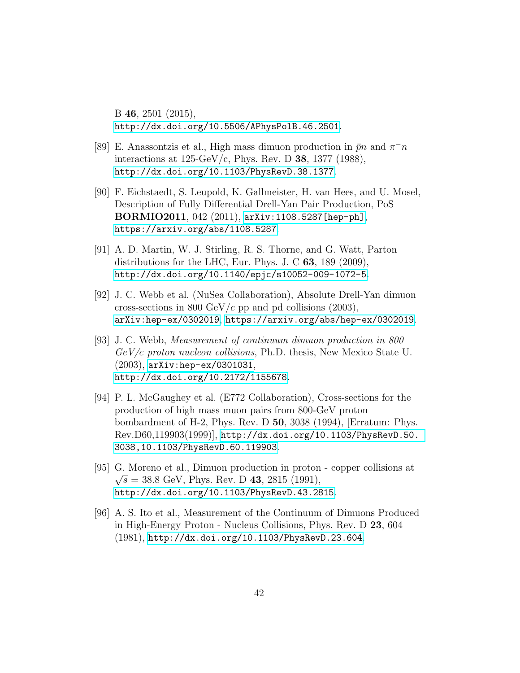B 46, 2501 (2015), <http://dx.doi.org/10.5506/APhysPolB.46.2501>.

- <span id="page-41-0"></span>[89] E. Anassontzis et al., High mass dimuon production in  $\bar{p}n$  and  $\pi^{-}n$ interactions at  $125$ -GeV/c, Phys. Rev. D 38, 1377 (1988), <http://dx.doi.org/10.1103/PhysRevD.38.1377>.
- <span id="page-41-1"></span>[90] F. Eichstaedt, S. Leupold, K. Gallmeister, H. van Hees, and U. Mosel, Description of Fully Differential Drell-Yan Pair Production, PoS BORMIO2011, 042 (2011), [arXiv:1108.5287\[hep-ph\]](arXiv: 1108.5287 [hep-ph]), <https://arxiv.org/abs/1108.5287>.
- <span id="page-41-7"></span>[91] A. D. Martin, W. J. Stirling, R. S. Thorne, and G. Watt, Parton distributions for the LHC, Eur. Phys. J. C 63, 189 (2009), <http://dx.doi.org/10.1140/epjc/s10052-009-1072-5>.
- <span id="page-41-2"></span>[92] J. C. Webb et al. (NuSea Collaboration), Absolute Drell-Yan dimuon cross-sections in 800 GeV/c pp and pd collisions  $(2003)$ , [arXiv:hep-ex/0302019](arXiv: hep-ex/0302019), <https://arxiv.org/abs/hep-ex/0302019>.
- <span id="page-41-3"></span>[93] J. C. Webb, Measurement of continuum dimuon production in 800  $GeV/c$  proton nucleon collisions, Ph.D. thesis, New Mexico State U. (2003), [arXiv:hep-ex/0301031](arXiv: hep-ex/0301031), <http://dx.doi.org/10.2172/1155678>.
- <span id="page-41-4"></span>[94] P. L. McGaughey et al. (E772 Collaboration), Cross-sections for the production of high mass muon pairs from 800-GeV proton bombardment of H-2, Phys. Rev. D 50, 3038 (1994), [Erratum: Phys. Rev.D60,119903(1999)], [http://dx.doi.org/10.1103/PhysRevD.50.](http://dx.doi.org/10.1103/PhysRevD.50.3038, 10.1103/PhysRevD.60.119903) [3038,10.1103/PhysRevD.60.119903](http://dx.doi.org/10.1103/PhysRevD.50.3038, 10.1103/PhysRevD.60.119903).
- <span id="page-41-5"></span>[95] G. Moreno et al., Dimuon production in proton - copper collisions at  $\sqrt{s} = 38.8 \text{ GeV}, \text{Phys. Rev. D } 43, 2815 \text{ (1991)},$ <http://dx.doi.org/10.1103/PhysRevD.43.2815>.
- <span id="page-41-6"></span>[96] A. S. Ito et al., Measurement of the Continuum of Dimuons Produced in High-Energy Proton - Nucleus Collisions, Phys. Rev. D 23, 604 (1981), <http://dx.doi.org/10.1103/PhysRevD.23.604>.